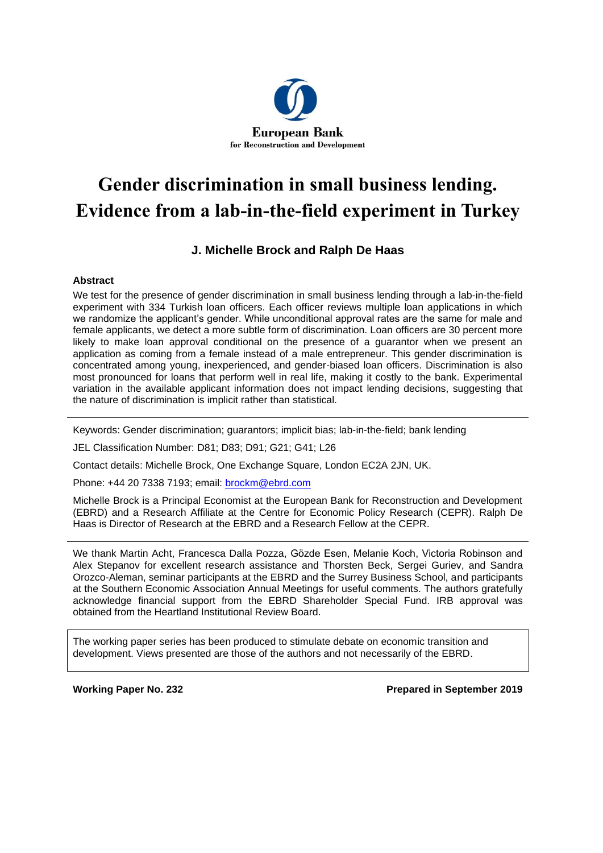

# **Gender discrimination in small business lending. Evidence from a lab-in-the-field experiment in Turkey**

# **J. Michelle Brock and Ralph De Haas**

## **Abstract**

We test for the presence of gender discrimination in small business lending through a lab-in-the-field experiment with 334 Turkish loan officers. Each officer reviews multiple loan applications in which we randomize the applicant's gender. While unconditional approval rates are the same for male and female applicants, we detect a more subtle form of discrimination. Loan officers are 30 percent more likely to make loan approval conditional on the presence of a guarantor when we present an application as coming from a female instead of a male entrepreneur. This gender discrimination is concentrated among young, inexperienced, and gender-biased loan officers. Discrimination is also most pronounced for loans that perform well in real life, making it costly to the bank. Experimental variation in the available applicant information does not impact lending decisions, suggesting that the nature of discrimination is implicit rather than statistical.

Keywords: Gender discrimination; guarantors; implicit bias; lab-in-the-field; bank lending

JEL Classification Number: D81; D83; D91; G21; G41; L26

Contact details: Michelle Brock, One Exchange Square, London EC2A 2JN, UK.

Phone: +44 20 7338 7193; email: [brockm@ebrd.com](mailto:brockm@ebrd.com)

Michelle Brock is a Principal Economist at the European Bank for Reconstruction and Development (EBRD) and a Research Affiliate at the Centre for Economic Policy Research (CEPR). Ralph De Haas is Director of Research at the EBRD and a Research Fellow at the CEPR.

We thank Martin Acht, Francesca Dalla Pozza, Gӧzde Esen, Melanie Koch, Victoria Robinson and Alex Stepanov for excellent research assistance and Thorsten Beck, Sergei Guriev, and Sandra Orozco-Aleman, seminar participants at the EBRD and the Surrey Business School, and participants at the Southern Economic Association Annual Meetings for useful comments. The authors gratefully acknowledge financial support from the EBRD Shareholder Special Fund. IRB approval was obtained from the Heartland Institutional Review Board.

The working paper series has been produced to stimulate debate on economic transition and development. Views presented are those of the authors and not necessarily of the EBRD.

**Working Paper No. 232 Prepared in September 2019**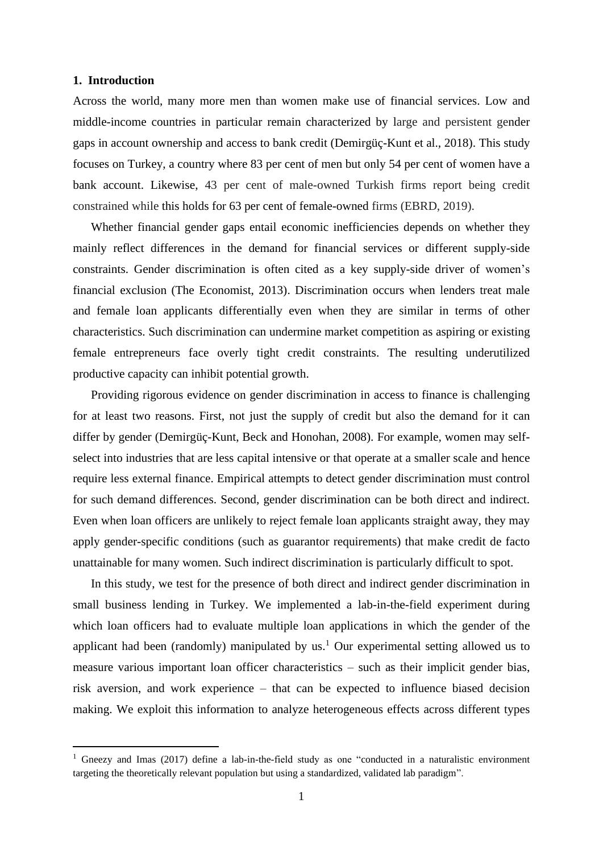#### **1. Introduction**

Across the world, many more men than women make use of financial services. Low and middle-income countries in particular remain characterized by large and persistent gender gaps in account ownership and access to bank credit (Demirgüç-Kunt et al., 2018). This study focuses on Turkey, a country where 83 per cent of men but only 54 per cent of women have a bank account. Likewise, 43 per cent of male-owned Turkish firms report being credit constrained while this holds for 63 per cent of female-owned firms (EBRD, 2019).

Whether financial gender gaps entail economic inefficiencies depends on whether they mainly reflect differences in the demand for financial services or different supply-side constraints. Gender discrimination is often cited as a key supply-side driver of women's financial exclusion (The Economist, 2013). Discrimination occurs when lenders treat male and female loan applicants differentially even when they are similar in terms of other characteristics. Such discrimination can undermine market competition as aspiring or existing female entrepreneurs face overly tight credit constraints. The resulting underutilized productive capacity can inhibit potential growth.

Providing rigorous evidence on gender discrimination in access to finance is challenging for at least two reasons. First, not just the supply of credit but also the demand for it can differ by gender (Demirgüç-Kunt, Beck and Honohan, 2008). For example, women may selfselect into industries that are less capital intensive or that operate at a smaller scale and hence require less external finance. Empirical attempts to detect gender discrimination must control for such demand differences. Second, gender discrimination can be both direct and indirect. Even when loan officers are unlikely to reject female loan applicants straight away, they may apply gender-specific conditions (such as guarantor requirements) that make credit de facto unattainable for many women. Such indirect discrimination is particularly difficult to spot.

In this study, we test for the presence of both direct and indirect gender discrimination in small business lending in Turkey. We implemented a lab-in-the-field experiment during which loan officers had to evaluate multiple loan applications in which the gender of the applicant had been (randomly) manipulated by  $us<sup>1</sup>$  Our experimental setting allowed us to measure various important loan officer characteristics – such as their implicit gender bias, risk aversion, and work experience – that can be expected to influence biased decision making. We exploit this information to analyze heterogeneous effects across different types

<sup>&</sup>lt;sup>1</sup> Gneezy and Imas (2017) define a lab-in-the-field study as one "conducted in a naturalistic environment targeting the theoretically relevant population but using a standardized, validated lab paradigm".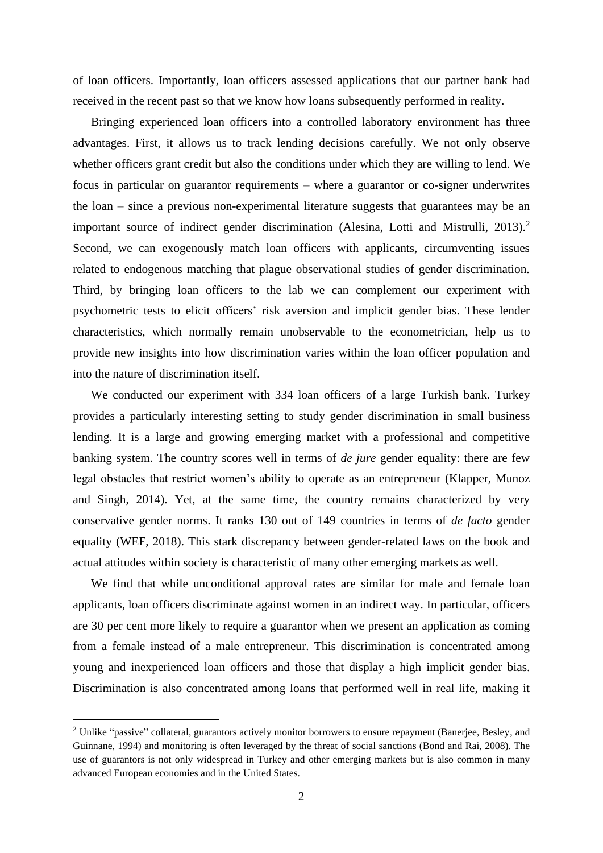of loan officers. Importantly, loan officers assessed applications that our partner bank had received in the recent past so that we know how loans subsequently performed in reality.

Bringing experienced loan officers into a controlled laboratory environment has three advantages. First, it allows us to track lending decisions carefully. We not only observe whether officers grant credit but also the conditions under which they are willing to lend. We focus in particular on guarantor requirements – where a guarantor or co-signer underwrites the loan – since a previous non-experimental literature suggests that guarantees may be an important source of indirect gender discrimination (Alesina, Lotti and Mistrulli, 2013).<sup>2</sup> Second, we can exogenously match loan officers with applicants, circumventing issues related to endogenous matching that plague observational studies of gender discrimination. Third, by bringing loan officers to the lab we can complement our experiment with psychometric tests to elicit officers' risk aversion and implicit gender bias. These lender characteristics, which normally remain unobservable to the econometrician, help us to provide new insights into how discrimination varies within the loan officer population and into the nature of discrimination itself.

We conducted our experiment with 334 loan officers of a large Turkish bank. Turkey provides a particularly interesting setting to study gender discrimination in small business lending. It is a large and growing emerging market with a professional and competitive banking system. The country scores well in terms of *de jure* gender equality: there are few legal obstacles that restrict women's ability to operate as an entrepreneur (Klapper, Munoz and Singh, 2014). Yet, at the same time, the country remains characterized by very conservative gender norms. It ranks 130 out of 149 countries in terms of *de facto* gender equality (WEF, 2018). This stark discrepancy between gender-related laws on the book and actual attitudes within society is characteristic of many other emerging markets as well.

We find that while unconditional approval rates are similar for male and female loan applicants, loan officers discriminate against women in an indirect way. In particular, officers are 30 per cent more likely to require a guarantor when we present an application as coming from a female instead of a male entrepreneur. This discrimination is concentrated among young and inexperienced loan officers and those that display a high implicit gender bias. Discrimination is also concentrated among loans that performed well in real life, making it

<sup>&</sup>lt;sup>2</sup> Unlike "passive" collateral, guarantors actively monitor borrowers to ensure repayment (Banerjee, Besley, and Guinnane, 1994) and monitoring is often leveraged by the threat of social sanctions (Bond and Rai, 2008). The use of guarantors is not only widespread in Turkey and other emerging markets but is also common in many advanced European economies and in the United States.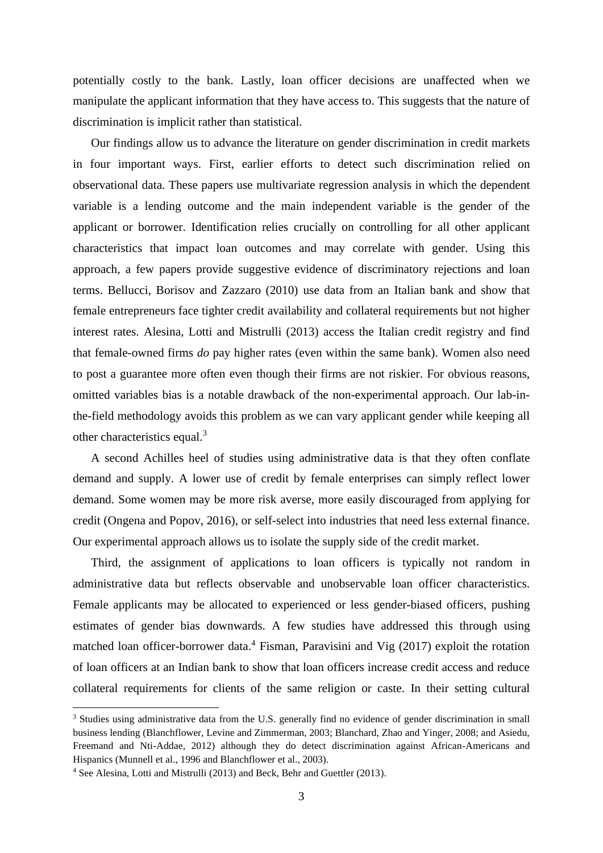potentially costly to the bank. Lastly, loan officer decisions are unaffected when we manipulate the applicant information that they have access to. This suggests that the nature of discrimination is implicit rather than statistical.

Our findings allow us to advance the literature on gender discrimination in credit markets in four important ways. First, earlier efforts to detect such discrimination relied on observational data. These papers use multivariate regression analysis in which the dependent variable is a lending outcome and the main independent variable is the gender of the applicant or borrower. Identification relies crucially on controlling for all other applicant characteristics that impact loan outcomes and may correlate with gender. Using this approach, a few papers provide suggestive evidence of discriminatory rejections and loan terms. Bellucci, Borisov and Zazzaro (2010) use data from an Italian bank and show that female entrepreneurs face tighter credit availability and collateral requirements but not higher interest rates. Alesina, Lotti and Mistrulli (2013) access the Italian credit registry and find that female-owned firms *do* pay higher rates (even within the same bank). Women also need to post a guarantee more often even though their firms are not riskier. For obvious reasons, omitted variables bias is a notable drawback of the non-experimental approach. Our lab-inthe-field methodology avoids this problem as we can vary applicant gender while keeping all other characteristics equal.<sup>3</sup>

A second Achilles heel of studies using administrative data is that they often conflate demand and supply. A lower use of credit by female enterprises can simply reflect lower demand. Some women may be more risk averse, more easily discouraged from applying for credit (Ongena and Popov, 2016), or self-select into industries that need less external finance. Our experimental approach allows us to isolate the supply side of the credit market.

Third, the assignment of applications to loan officers is typically not random in administrative data but reflects observable and unobservable loan officer characteristics. Female applicants may be allocated to experienced or less gender-biased officers, pushing estimates of gender bias downwards. A few studies have addressed this through using matched loan officer-borrower data.<sup>4</sup> Fisman, Paravisini and Vig  $(2017)$  exploit the rotation of loan officers at an Indian bank to show that loan officers increase credit access and reduce collateral requirements for clients of the same religion or caste. In their setting cultural

<sup>&</sup>lt;sup>3</sup> Studies using administrative data from the U.S. generally find no evidence of gender discrimination in small business lending (Blanchflower, Levine and Zimmerman, 2003; Blanchard, Zhao and Yinger, 2008; and Asiedu, Freemand and Nti-Addae, 2012) although they do detect discrimination against African-Americans and Hispanics (Munnell et al., 1996 and Blanchflower et al., 2003).

<sup>4</sup> See Alesina, Lotti and Mistrulli (2013) and Beck, Behr and Guettler (2013).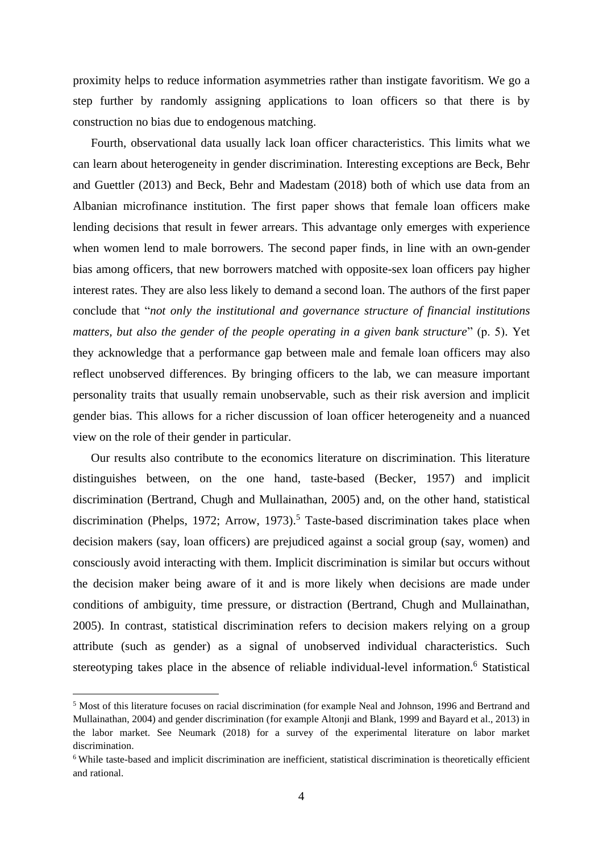proximity helps to reduce information asymmetries rather than instigate favoritism. We go a step further by randomly assigning applications to loan officers so that there is by construction no bias due to endogenous matching.

Fourth, observational data usually lack loan officer characteristics. This limits what we can learn about heterogeneity in gender discrimination. Interesting exceptions are Beck, Behr and Guettler (2013) and Beck, Behr and Madestam (2018) both of which use data from an Albanian microfinance institution. The first paper shows that female loan officers make lending decisions that result in fewer arrears. This advantage only emerges with experience when women lend to male borrowers. The second paper finds, in line with an own-gender bias among officers, that new borrowers matched with opposite-sex loan officers pay higher interest rates. They are also less likely to demand a second loan. The authors of the first paper conclude that "*not only the institutional and governance structure of financial institutions matters, but also the gender of the people operating in a given bank structure*" (p. 5). Yet they acknowledge that a performance gap between male and female loan officers may also reflect unobserved differences. By bringing officers to the lab, we can measure important personality traits that usually remain unobservable, such as their risk aversion and implicit gender bias. This allows for a richer discussion of loan officer heterogeneity and a nuanced view on the role of their gender in particular.

Our results also contribute to the economics literature on discrimination. This literature distinguishes between, on the one hand, taste-based (Becker, 1957) and implicit discrimination (Bertrand, Chugh and Mullainathan, 2005) and, on the other hand, statistical discrimination (Phelps, 1972; Arrow, 1973). <sup>5</sup> Taste-based discrimination takes place when decision makers (say, loan officers) are prejudiced against a social group (say, women) and consciously avoid interacting with them. Implicit discrimination is similar but occurs without the decision maker being aware of it and is more likely when decisions are made under conditions of ambiguity, time pressure, or distraction (Bertrand, Chugh and Mullainathan, 2005). In contrast, statistical discrimination refers to decision makers relying on a group attribute (such as gender) as a signal of unobserved individual characteristics. Such stereotyping takes place in the absence of reliable individual-level information.<sup>6</sup> Statistical

<sup>5</sup> Most of this literature focuses on racial discrimination (for example Neal and Johnson, 1996 and Bertrand and Mullainathan, 2004) and gender discrimination (for example Altonji and Blank, 1999 and Bayard et al., 2013) in the labor market. See Neumark (2018) for a survey of the experimental literature on labor market discrimination.

<sup>&</sup>lt;sup>6</sup> While taste-based and implicit discrimination are inefficient, statistical discrimination is theoretically efficient and rational.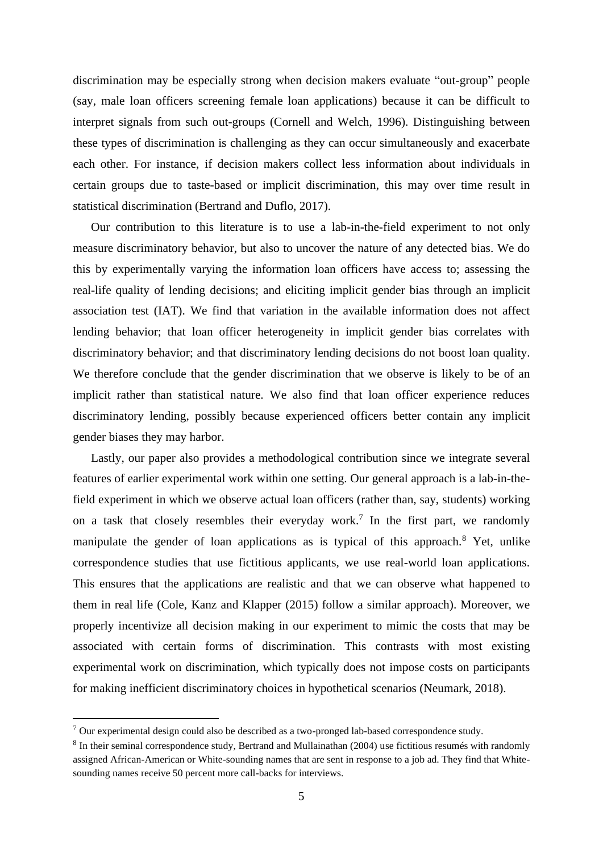discrimination may be especially strong when decision makers evaluate "out-group" people (say, male loan officers screening female loan applications) because it can be difficult to interpret signals from such out-groups (Cornell and Welch, 1996). Distinguishing between these types of discrimination is challenging as they can occur simultaneously and exacerbate each other. For instance, if decision makers collect less information about individuals in certain groups due to taste-based or implicit discrimination, this may over time result in statistical discrimination (Bertrand and Duflo, 2017).

Our contribution to this literature is to use a lab-in-the-field experiment to not only measure discriminatory behavior, but also to uncover the nature of any detected bias. We do this by experimentally varying the information loan officers have access to; assessing the real-life quality of lending decisions; and eliciting implicit gender bias through an implicit association test (IAT). We find that variation in the available information does not affect lending behavior; that loan officer heterogeneity in implicit gender bias correlates with discriminatory behavior; and that discriminatory lending decisions do not boost loan quality. We therefore conclude that the gender discrimination that we observe is likely to be of an implicit rather than statistical nature. We also find that loan officer experience reduces discriminatory lending, possibly because experienced officers better contain any implicit gender biases they may harbor.

Lastly, our paper also provides a methodological contribution since we integrate several features of earlier experimental work within one setting. Our general approach is a lab-in-thefield experiment in which we observe actual loan officers (rather than, say, students) working on a task that closely resembles their everyday work.<sup>7</sup> In the first part, we randomly manipulate the gender of loan applications as is typical of this approach.<sup>8</sup> Yet, unlike correspondence studies that use fictitious applicants, we use real-world loan applications. This ensures that the applications are realistic and that we can observe what happened to them in real life (Cole, Kanz and Klapper (2015) follow a similar approach). Moreover, we properly incentivize all decision making in our experiment to mimic the costs that may be associated with certain forms of discrimination. This contrasts with most existing experimental work on discrimination, which typically does not impose costs on participants for making inefficient discriminatory choices in hypothetical scenarios (Neumark, 2018).

 $7$  Our experimental design could also be described as a two-pronged lab-based correspondence study.

<sup>&</sup>lt;sup>8</sup> In their seminal correspondence study, Bertrand and Mullainathan (2004) use fictitious resumés with randomly assigned African-American or White-sounding names that are sent in response to a job ad. They find that Whitesounding names receive 50 percent more call-backs for interviews.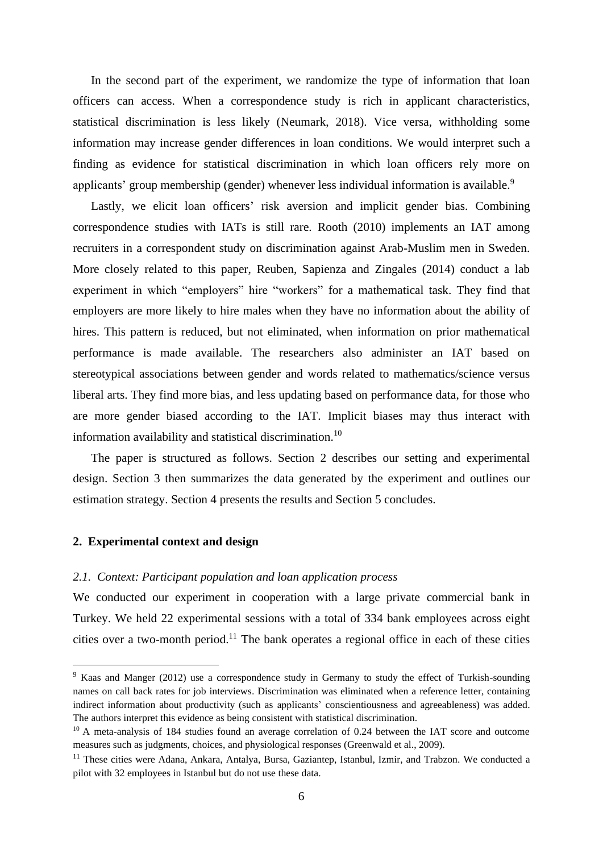In the second part of the experiment, we randomize the type of information that loan officers can access. When a correspondence study is rich in applicant characteristics, statistical discrimination is less likely (Neumark, 2018). Vice versa, withholding some information may increase gender differences in loan conditions. We would interpret such a finding as evidence for statistical discrimination in which loan officers rely more on applicants' group membership (gender) whenever less individual information is available.<sup>9</sup>

Lastly, we elicit loan officers' risk aversion and implicit gender bias. Combining correspondence studies with IATs is still rare. Rooth (2010) implements an IAT among recruiters in a correspondent study on discrimination against Arab-Muslim men in Sweden. More closely related to this paper, Reuben, Sapienza and Zingales (2014) conduct a lab experiment in which "employers" hire "workers" for a mathematical task. They find that employers are more likely to hire males when they have no information about the ability of hires. This pattern is reduced, but not eliminated, when information on prior mathematical performance is made available. The researchers also administer an IAT based on stereotypical associations between gender and words related to mathematics/science versus liberal arts. They find more bias, and less updating based on performance data, for those who are more gender biased according to the IAT. Implicit biases may thus interact with information availability and statistical discrimination.<sup>10</sup>

The paper is structured as follows. Section 2 describes our setting and experimental design. Section 3 then summarizes the data generated by the experiment and outlines our estimation strategy. Section 4 presents the results and Section 5 concludes.

## **2. Experimental context and design**

#### *2.1. Context: Participant population and loan application process*

We conducted our experiment in cooperation with a large private commercial bank in Turkey. We held 22 experimental sessions with a total of 334 bank employees across eight cities over a two-month period.<sup>11</sup> The bank operates a regional office in each of these cities

<sup>&</sup>lt;sup>9</sup> Kaas and Manger (2012) use a correspondence study in Germany to study the effect of Turkish-sounding names on call back rates for job interviews. Discrimination was eliminated when a reference letter, containing indirect information about productivity (such as applicants' conscientiousness and agreeableness) was added. The authors interpret this evidence as being consistent with statistical discrimination.

<sup>&</sup>lt;sup>10</sup> A meta-analysis of 184 studies found an average correlation of 0.24 between the IAT score and outcome measures such as judgments, choices, and physiological responses (Greenwald et al., 2009).

<sup>&</sup>lt;sup>11</sup> These cities were Adana, Ankara, Antalya, Bursa, Gaziantep, Istanbul, Izmir, and Trabzon. We conducted a pilot with 32 employees in Istanbul but do not use these data.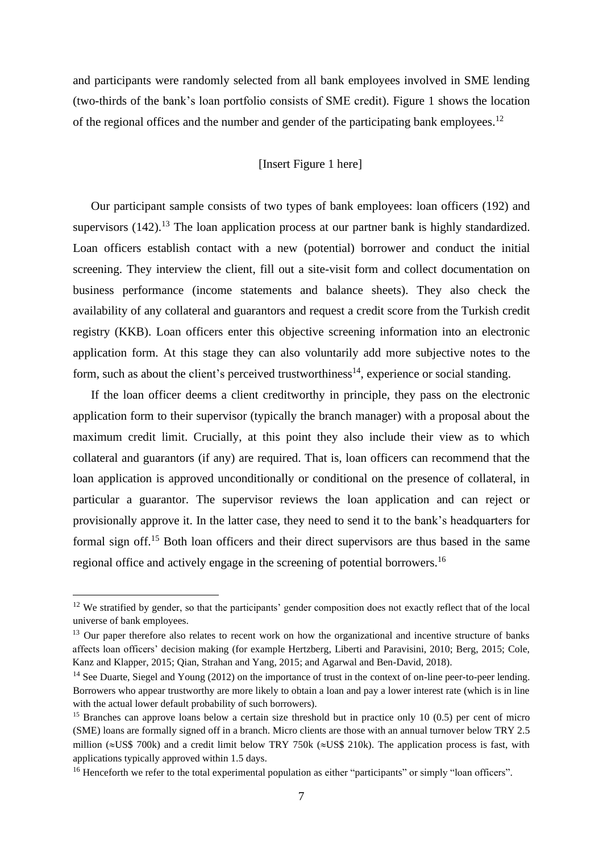and participants were randomly selected from all bank employees involved in SME lending (two-thirds of the bank's loan portfolio consists of SME credit). Figure 1 shows the location of the regional offices and the number and gender of the participating bank employees.<sup>12</sup>

## [Insert Figure 1 here]

Our participant sample consists of two types of bank employees: loan officers (192) and supervisors  $(142)$ .<sup>13</sup> The loan application process at our partner bank is highly standardized. Loan officers establish contact with a new (potential) borrower and conduct the initial screening. They interview the client, fill out a site-visit form and collect documentation on business performance (income statements and balance sheets). They also check the availability of any collateral and guarantors and request a credit score from the Turkish credit registry (KKB). Loan officers enter this objective screening information into an electronic application form. At this stage they can also voluntarily add more subjective notes to the form, such as about the client's perceived trustworthiness<sup>14</sup>, experience or social standing.

If the loan officer deems a client creditworthy in principle, they pass on the electronic application form to their supervisor (typically the branch manager) with a proposal about the maximum credit limit. Crucially, at this point they also include their view as to which collateral and guarantors (if any) are required. That is, loan officers can recommend that the loan application is approved unconditionally or conditional on the presence of collateral, in particular a guarantor. The supervisor reviews the loan application and can reject or provisionally approve it. In the latter case, they need to send it to the bank's headquarters for formal sign off.<sup>15</sup> Both loan officers and their direct supervisors are thus based in the same regional office and actively engage in the screening of potential borrowers.<sup>16</sup>

<sup>&</sup>lt;sup>12</sup> We stratified by gender, so that the participants' gender composition does not exactly reflect that of the local universe of bank employees.

<sup>&</sup>lt;sup>13</sup> Our paper therefore also relates to recent work on how the organizational and incentive structure of banks affects loan officers' decision making (for example Hertzberg, Liberti and Paravisini, 2010; Berg, 2015; Cole, Kanz and Klapper, 2015; Qian, Strahan and Yang, 2015; and Agarwal and Ben-David, 2018).

 $14$  See Duarte, Siegel and Young (2012) on the importance of trust in the context of on-line peer-to-peer lending. Borrowers who appear trustworthy are more likely to obtain a loan and pay a lower interest rate (which is in line with the actual lower default probability of such borrowers).

<sup>&</sup>lt;sup>15</sup> Branches can approve loans below a certain size threshold but in practice only 10 (0.5) per cent of micro (SME) loans are formally signed off in a branch. Micro clients are those with an annual turnover below TRY 2.5 million ( $\approx$ US\$ 700k) and a credit limit below TRY 750k ( $\approx$ US\$ 210k). The application process is fast, with applications typically approved within 1.5 days.

<sup>&</sup>lt;sup>16</sup> Henceforth we refer to the total experimental population as either "participants" or simply "loan officers".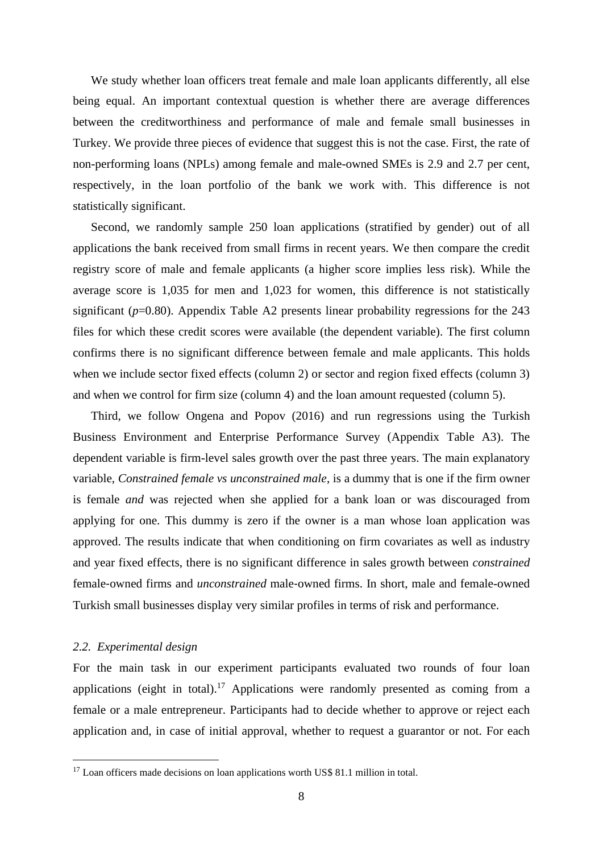We study whether loan officers treat female and male loan applicants differently, all else being equal. An important contextual question is whether there are average differences between the creditworthiness and performance of male and female small businesses in Turkey. We provide three pieces of evidence that suggest this is not the case. First, the rate of non-performing loans (NPLs) among female and male-owned SMEs is 2.9 and 2.7 per cent, respectively, in the loan portfolio of the bank we work with. This difference is not statistically significant.

Second, we randomly sample 250 loan applications (stratified by gender) out of all applications the bank received from small firms in recent years. We then compare the credit registry score of male and female applicants (a higher score implies less risk). While the average score is 1,035 for men and 1,023 for women, this difference is not statistically significant (*p*=0.80). Appendix Table A2 presents linear probability regressions for the 243 files for which these credit scores were available (the dependent variable). The first column confirms there is no significant difference between female and male applicants. This holds when we include sector fixed effects (column 2) or sector and region fixed effects (column 3) and when we control for firm size (column 4) and the loan amount requested (column 5).

Third, we follow Ongena and Popov (2016) and run regressions using the Turkish Business Environment and Enterprise Performance Survey (Appendix Table A3). The dependent variable is firm-level sales growth over the past three years. The main explanatory variable, *Constrained female vs unconstrained male*, is a dummy that is one if the firm owner is female *and* was rejected when she applied for a bank loan or was discouraged from applying for one. This dummy is zero if the owner is a man whose loan application was approved. The results indicate that when conditioning on firm covariates as well as industry and year fixed effects, there is no significant difference in sales growth between *constrained* female‐owned firms and *unconstrained* male‐owned firms. In short, male and female-owned Turkish small businesses display very similar profiles in terms of risk and performance.

#### *2.2. Experimental design*

For the main task in our experiment participants evaluated two rounds of four loan applications (eight in total).<sup>17</sup> Applications were randomly presented as coming from a female or a male entrepreneur. Participants had to decide whether to approve or reject each application and, in case of initial approval, whether to request a guarantor or not. For each

<sup>&</sup>lt;sup>17</sup> Loan officers made decisions on loan applications worth US\$ 81.1 million in total.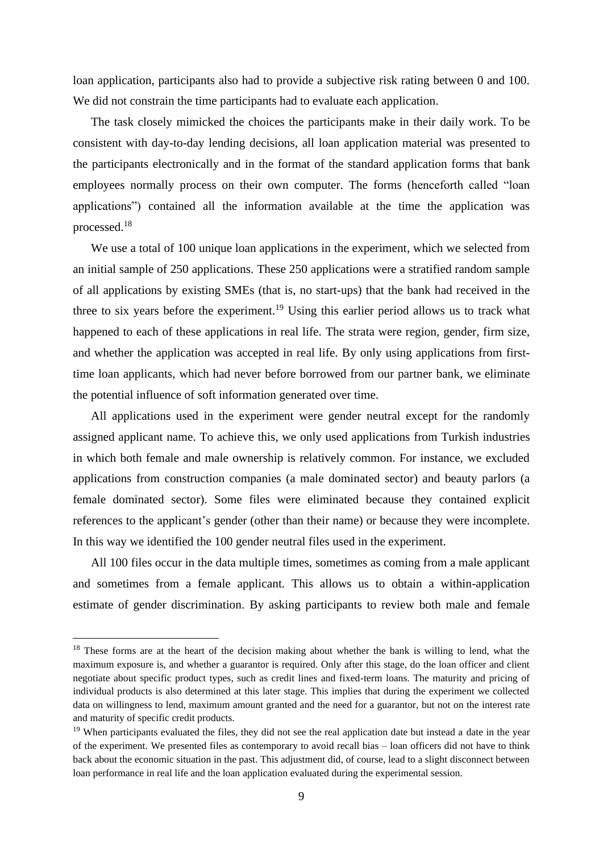loan application, participants also had to provide a subjective risk rating between 0 and 100. We did not constrain the time participants had to evaluate each application.

The task closely mimicked the choices the participants make in their daily work. To be consistent with day-to-day lending decisions, all loan application material was presented to the participants electronically and in the format of the standard application forms that bank employees normally process on their own computer. The forms (henceforth called "loan applications") contained all the information available at the time the application was processed. 18

We use a total of 100 unique loan applications in the experiment, which we selected from an initial sample of 250 applications. These 250 applications were a stratified random sample of all applications by existing SMEs (that is, no start-ups) that the bank had received in the three to six years before the experiment.<sup>19</sup> Using this earlier period allows us to track what happened to each of these applications in real life. The strata were region, gender, firm size, and whether the application was accepted in real life. By only using applications from firsttime loan applicants, which had never before borrowed from our partner bank, we eliminate the potential influence of soft information generated over time.

All applications used in the experiment were gender neutral except for the randomly assigned applicant name. To achieve this, we only used applications from Turkish industries in which both female and male ownership is relatively common. For instance, we excluded applications from construction companies (a male dominated sector) and beauty parlors (a female dominated sector). Some files were eliminated because they contained explicit references to the applicant's gender (other than their name) or because they were incomplete. In this way we identified the 100 gender neutral files used in the experiment.

All 100 files occur in the data multiple times, sometimes as coming from a male applicant and sometimes from a female applicant. This allows us to obtain a within-application estimate of gender discrimination. By asking participants to review both male and female

<sup>&</sup>lt;sup>18</sup> These forms are at the heart of the decision making about whether the bank is willing to lend, what the maximum exposure is, and whether a guarantor is required. Only after this stage, do the loan officer and client negotiate about specific product types, such as credit lines and fixed-term loans. The maturity and pricing of individual products is also determined at this later stage. This implies that during the experiment we collected data on willingness to lend, maximum amount granted and the need for a guarantor, but not on the interest rate and maturity of specific credit products.

<sup>&</sup>lt;sup>19</sup> When participants evaluated the files, they did not see the real application date but instead a date in the year of the experiment. We presented files as contemporary to avoid recall bias – loan officers did not have to think back about the economic situation in the past. This adjustment did, of course, lead to a slight disconnect between loan performance in real life and the loan application evaluated during the experimental session.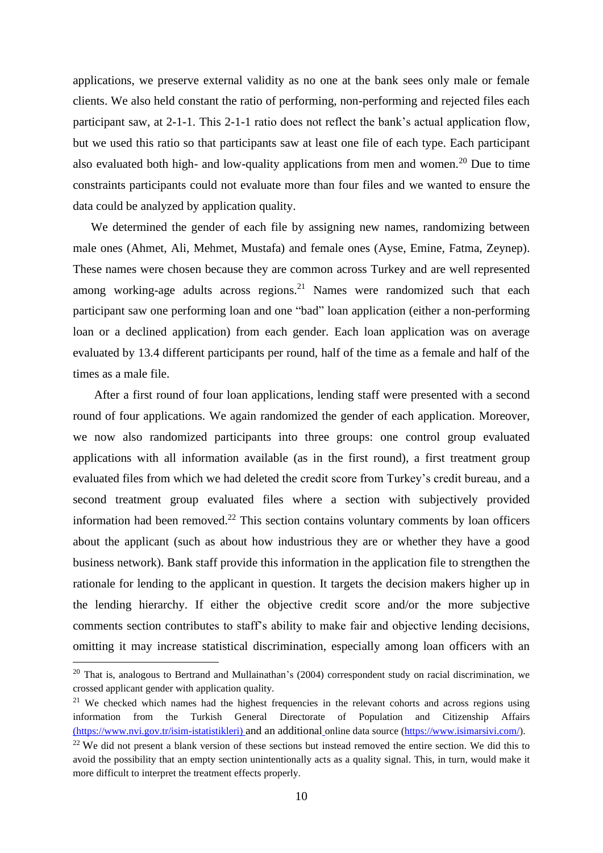applications, we preserve external validity as no one at the bank sees only male or female clients. We also held constant the ratio of performing, non-performing and rejected files each participant saw, at 2-1-1. This 2-1-1 ratio does not reflect the bank's actual application flow, but we used this ratio so that participants saw at least one file of each type. Each participant also evaluated both high- and low-quality applications from men and women.<sup>20</sup> Due to time constraints participants could not evaluate more than four files and we wanted to ensure the data could be analyzed by application quality.

We determined the gender of each file by assigning new names, randomizing between male ones (Ahmet, Ali, Mehmet, Mustafa) and female ones (Ayse, Emine, Fatma, Zeynep). These names were chosen because they are common across Turkey and are well represented among working-age adults across regions. <sup>21</sup> Names were randomized such that each participant saw one performing loan and one "bad" loan application (either a non-performing loan or a declined application) from each gender. Each loan application was on average evaluated by 13.4 different participants per round, half of the time as a female and half of the times as a male file.

After a first round of four loan applications, lending staff were presented with a second round of four applications. We again randomized the gender of each application. Moreover, we now also randomized participants into three groups: one control group evaluated applications with all information available (as in the first round), a first treatment group evaluated files from which we had deleted the credit score from Turkey's credit bureau, and a second treatment group evaluated files where a section with subjectively provided information had been removed.<sup>22</sup> This section contains voluntary comments by loan officers about the applicant (such as about how industrious they are or whether they have a good business network). Bank staff provide this information in the application file to strengthen the rationale for lending to the applicant in question. It targets the decision makers higher up in the lending hierarchy. If either the objective credit score and/or the more subjective comments section contributes to staff's ability to make fair and objective lending decisions, omitting it may increase statistical discrimination, especially among loan officers with an

<sup>&</sup>lt;sup>20</sup> That is, analogous to Bertrand and Mullainathan's (2004) correspondent study on racial discrimination, we crossed applicant gender with application quality.

<sup>&</sup>lt;sup>21</sup> We checked which names had the highest frequencies in the relevant cohorts and across regions using information from the Turkish General Directorate of Population and Citizenship Affairs [\(https://www.nvi.gov.tr/isim-istatistikleri\)](https://www.nvi.gov.tr/isim-istatistikleri) and an additional online data source [\(https://www.isimarsivi.com/\)](https://www.isimarsivi.com/).

<sup>&</sup>lt;sup>22</sup> We did not present a blank version of these sections but instead removed the entire section. We did this to avoid the possibility that an empty section unintentionally acts as a quality signal. This, in turn, would make it more difficult to interpret the treatment effects properly.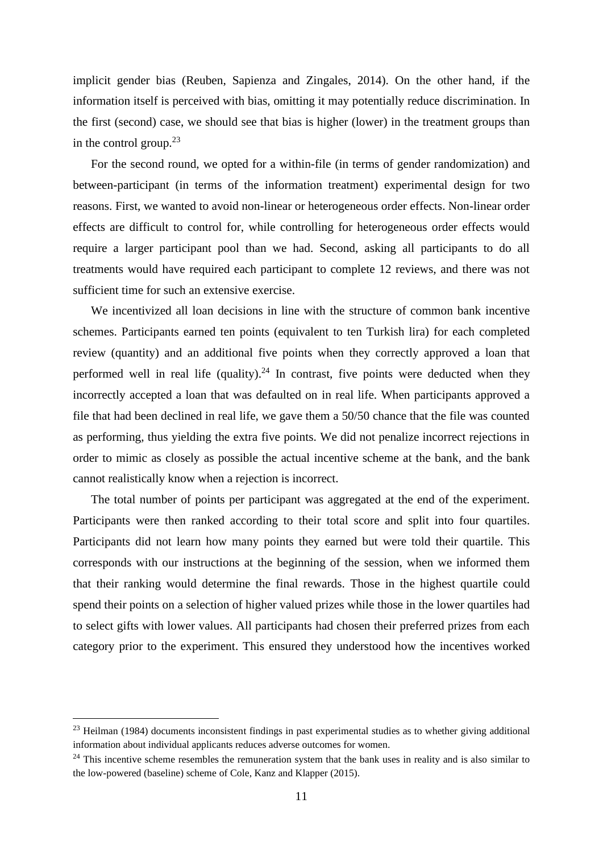implicit gender bias (Reuben, Sapienza and Zingales, 2014). On the other hand, if the information itself is perceived with bias, omitting it may potentially reduce discrimination. In the first (second) case, we should see that bias is higher (lower) in the treatment groups than in the control group. $2<sup>3</sup>$ 

For the second round, we opted for a within-file (in terms of gender randomization) and between-participant (in terms of the information treatment) experimental design for two reasons. First, we wanted to avoid non-linear or heterogeneous order effects. Non-linear order effects are difficult to control for, while controlling for heterogeneous order effects would require a larger participant pool than we had. Second, asking all participants to do all treatments would have required each participant to complete 12 reviews, and there was not sufficient time for such an extensive exercise.

We incentivized all loan decisions in line with the structure of common bank incentive schemes. Participants earned ten points (equivalent to ten Turkish lira) for each completed review (quantity) and an additional five points when they correctly approved a loan that performed well in real life (quality).<sup>24</sup> In contrast, five points were deducted when they incorrectly accepted a loan that was defaulted on in real life. When participants approved a file that had been declined in real life, we gave them a 50/50 chance that the file was counted as performing, thus yielding the extra five points. We did not penalize incorrect rejections in order to mimic as closely as possible the actual incentive scheme at the bank, and the bank cannot realistically know when a rejection is incorrect.

The total number of points per participant was aggregated at the end of the experiment. Participants were then ranked according to their total score and split into four quartiles. Participants did not learn how many points they earned but were told their quartile. This corresponds with our instructions at the beginning of the session, when we informed them that their ranking would determine the final rewards. Those in the highest quartile could spend their points on a selection of higher valued prizes while those in the lower quartiles had to select gifts with lower values. All participants had chosen their preferred prizes from each category prior to the experiment. This ensured they understood how the incentives worked

 $^{23}$  Heilman (1984) documents inconsistent findings in past experimental studies as to whether giving additional information about individual applicants reduces adverse outcomes for women.

 $24$  This incentive scheme resembles the remuneration system that the bank uses in reality and is also similar to the low-powered (baseline) scheme of Cole, Kanz and Klapper (2015).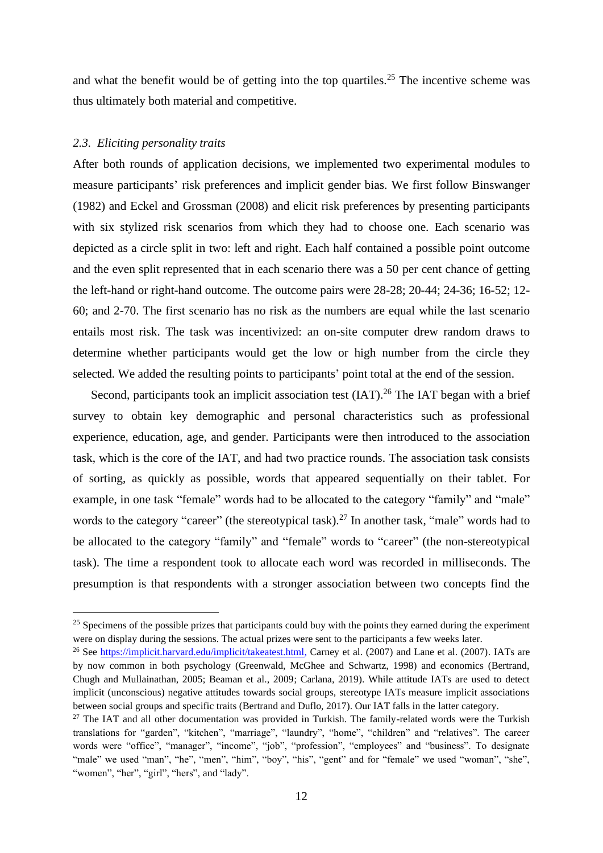and what the benefit would be of getting into the top quartiles.<sup>25</sup> The incentive scheme was thus ultimately both material and competitive.

#### *2.3. Eliciting personality traits*

After both rounds of application decisions, we implemented two experimental modules to measure participants' risk preferences and implicit gender bias. We first follow Binswanger (1982) and Eckel and Grossman (2008) and elicit risk preferences by presenting participants with six stylized risk scenarios from which they had to choose one. Each scenario was depicted as a circle split in two: left and right. Each half contained a possible point outcome and the even split represented that in each scenario there was a 50 per cent chance of getting the left-hand or right-hand outcome. The outcome pairs were 28-28; 20-44; 24-36; 16-52; 12- 60; and 2-70. The first scenario has no risk as the numbers are equal while the last scenario entails most risk. The task was incentivized: an on-site computer drew random draws to determine whether participants would get the low or high number from the circle they selected. We added the resulting points to participants' point total at the end of the session.

Second, participants took an implicit association test (IAT).<sup>26</sup> The IAT began with a brief survey to obtain key demographic and personal characteristics such as professional experience, education, age, and gender. Participants were then introduced to the association task, which is the core of the IAT, and had two practice rounds. The association task consists of sorting, as quickly as possible, words that appeared sequentially on their tablet. For example, in one task "female" words had to be allocated to the category "family" and "male" words to the category "career" (the stereotypical task).<sup>27</sup> In another task, "male" words had to be allocated to the category "family" and "female" words to "career" (the non-stereotypical task). The time a respondent took to allocate each word was recorded in milliseconds. The presumption is that respondents with a stronger association between two concepts find the

<sup>&</sup>lt;sup>25</sup> Specimens of the possible prizes that participants could buy with the points they earned during the experiment were on display during the sessions. The actual prizes were sent to the participants a few weeks later.

<sup>&</sup>lt;sup>26</sup> See [https://implicit.harvard.edu/implicit/takeatest.html,](https://implicit.harvard.edu/implicit/takeatest.html) Carney et al. (2007) and Lane et al. (2007). IATs are by now common in both psychology (Greenwald, McGhee and Schwartz, 1998) and economics (Bertrand, Chugh and Mullainathan, 2005; Beaman et al., 2009; Carlana, 2019). While attitude IATs are used to detect implicit (unconscious) negative attitudes towards social groups, stereotype IATs measure implicit associations between social groups and specific traits (Bertrand and Duflo, 2017). Our IAT falls in the latter category.

 $27$  The IAT and all other documentation was provided in Turkish. The family-related words were the Turkish translations for "garden", "kitchen", "marriage", "laundry", "home", "children" and "relatives". The career words were "office", "manager", "income", "job", "profession", "employees" and "business". To designate "male" we used "man", "he", "men", "him", "boy", "his", "gent" and for "female" we used "woman", "she", "women", "her", "girl", "hers", and "lady".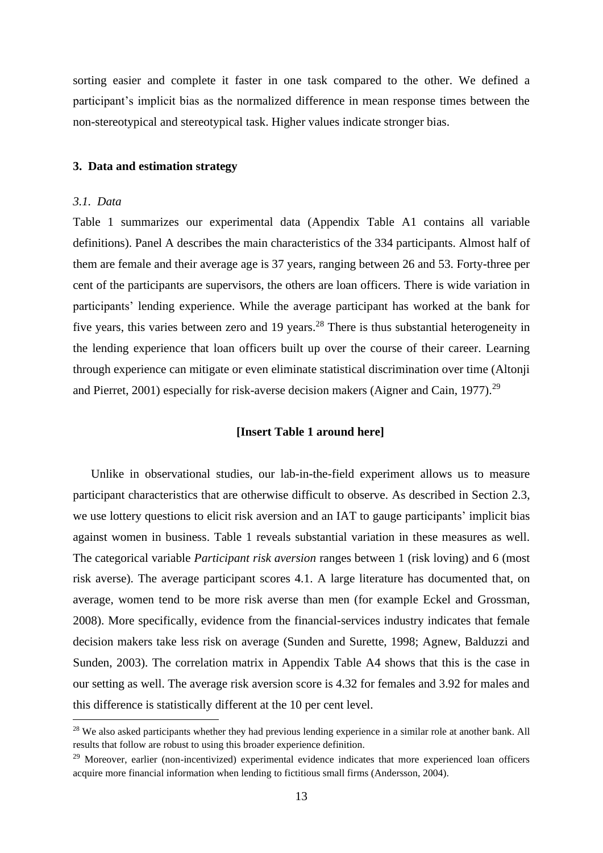sorting easier and complete it faster in one task compared to the other. We defined a participant's implicit bias as the normalized difference in mean response times between the non-stereotypical and stereotypical task. Higher values indicate stronger bias.

#### **3. Data and estimation strategy**

#### *3.1. Data*

Table 1 summarizes our experimental data (Appendix Table A1 contains all variable definitions). Panel A describes the main characteristics of the 334 participants. Almost half of them are female and their average age is 37 years, ranging between 26 and 53. Forty-three per cent of the participants are supervisors, the others are loan officers. There is wide variation in participants' lending experience. While the average participant has worked at the bank for five years, this varies between zero and 19 years.<sup>28</sup> There is thus substantial heterogeneity in the lending experience that loan officers built up over the course of their career. Learning through experience can mitigate or even eliminate statistical discrimination over time (Altonji and Pierret, 2001) especially for risk-averse decision makers (Aigner and Cain, 1977).<sup>29</sup>

## **[Insert Table 1 around here]**

Unlike in observational studies, our lab-in-the-field experiment allows us to measure participant characteristics that are otherwise difficult to observe. As described in Section 2.3, we use lottery questions to elicit risk aversion and an IAT to gauge participants' implicit bias against women in business. Table 1 reveals substantial variation in these measures as well. The categorical variable *Participant risk aversion* ranges between 1 (risk loving) and 6 (most risk averse). The average participant scores 4.1. A large literature has documented that, on average, women tend to be more risk averse than men (for example Eckel and Grossman, 2008). More specifically, evidence from the financial-services industry indicates that female decision makers take less risk on average (Sunden and Surette, 1998; Agnew, Balduzzi and Sunden, 2003). The correlation matrix in Appendix Table A4 shows that this is the case in our setting as well. The average risk aversion score is 4.32 for females and 3.92 for males and this difference is statistically different at the 10 per cent level.

<sup>&</sup>lt;sup>28</sup> We also asked participants whether they had previous lending experience in a similar role at another bank. All results that follow are robust to using this broader experience definition.

<sup>&</sup>lt;sup>29</sup> Moreover, earlier (non-incentivized) experimental evidence indicates that more experienced loan officers acquire more financial information when lending to fictitious small firms (Andersson, 2004).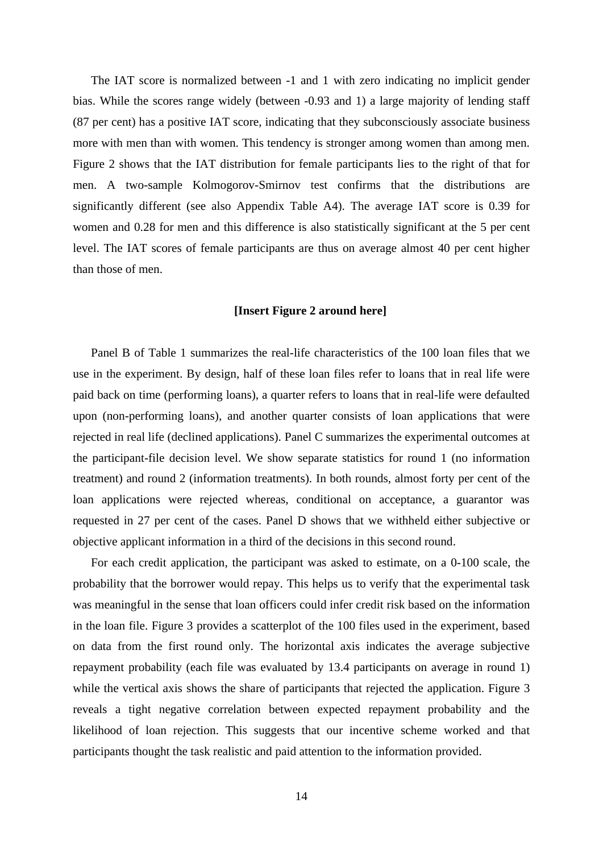The IAT score is normalized between -1 and 1 with zero indicating no implicit gender bias. While the scores range widely (between -0.93 and 1) a large majority of lending staff (87 per cent) has a positive IAT score, indicating that they subconsciously associate business more with men than with women. This tendency is stronger among women than among men. Figure 2 shows that the IAT distribution for female participants lies to the right of that for men. A two-sample Kolmogorov-Smirnov test confirms that the distributions are significantly different (see also Appendix Table A4). The average IAT score is 0.39 for women and 0.28 for men and this difference is also statistically significant at the 5 per cent level. The IAT scores of female participants are thus on average almost 40 per cent higher than those of men.

#### **[Insert Figure 2 around here]**

Panel B of Table 1 summarizes the real-life characteristics of the 100 loan files that we use in the experiment. By design, half of these loan files refer to loans that in real life were paid back on time (performing loans), a quarter refers to loans that in real-life were defaulted upon (non-performing loans), and another quarter consists of loan applications that were rejected in real life (declined applications). Panel C summarizes the experimental outcomes at the participant-file decision level. We show separate statistics for round 1 (no information treatment) and round 2 (information treatments). In both rounds, almost forty per cent of the loan applications were rejected whereas, conditional on acceptance, a guarantor was requested in 27 per cent of the cases. Panel D shows that we withheld either subjective or objective applicant information in a third of the decisions in this second round.

For each credit application, the participant was asked to estimate, on a 0-100 scale, the probability that the borrower would repay. This helps us to verify that the experimental task was meaningful in the sense that loan officers could infer credit risk based on the information in the loan file. Figure 3 provides a scatterplot of the 100 files used in the experiment, based on data from the first round only. The horizontal axis indicates the average subjective repayment probability (each file was evaluated by 13.4 participants on average in round 1) while the vertical axis shows the share of participants that rejected the application. Figure 3 reveals a tight negative correlation between expected repayment probability and the likelihood of loan rejection. This suggests that our incentive scheme worked and that participants thought the task realistic and paid attention to the information provided.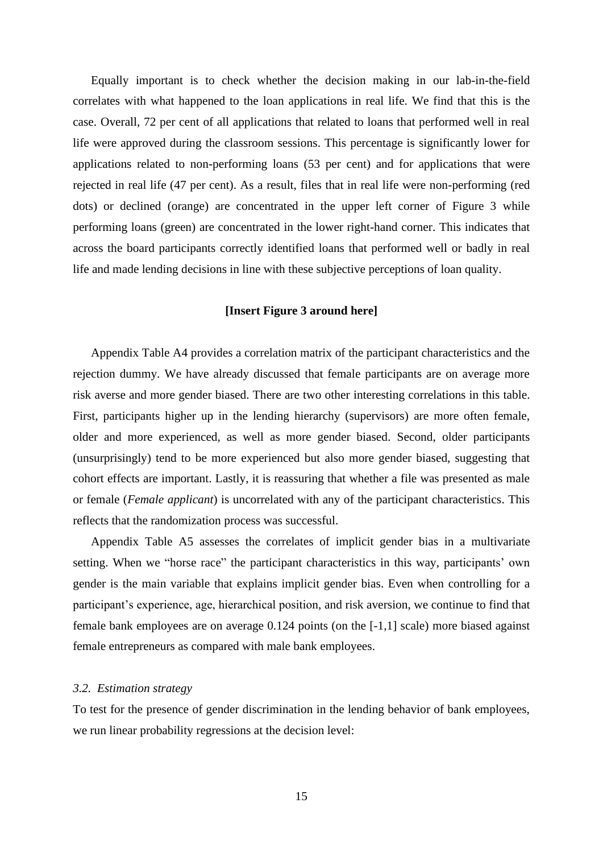Equally important is to check whether the decision making in our lab-in-the-field correlates with what happened to the loan applications in real life. We find that this is the case. Overall, 72 per cent of all applications that related to loans that performed well in real life were approved during the classroom sessions. This percentage is significantly lower for applications related to non-performing loans (53 per cent) and for applications that were rejected in real life (47 per cent). As a result, files that in real life were non-performing (red dots) or declined (orange) are concentrated in the upper left corner of Figure 3 while performing loans (green) are concentrated in the lower right-hand corner. This indicates that across the board participants correctly identified loans that performed well or badly in real life and made lending decisions in line with these subjective perceptions of loan quality.

### **[Insert Figure 3 around here]**

Appendix Table A4 provides a correlation matrix of the participant characteristics and the rejection dummy. We have already discussed that female participants are on average more risk averse and more gender biased. There are two other interesting correlations in this table. First, participants higher up in the lending hierarchy (supervisors) are more often female, older and more experienced, as well as more gender biased. Second, older participants (unsurprisingly) tend to be more experienced but also more gender biased, suggesting that cohort effects are important. Lastly, it is reassuring that whether a file was presented as male or female (*Female applicant*) is uncorrelated with any of the participant characteristics. This reflects that the randomization process was successful.

Appendix Table A5 assesses the correlates of implicit gender bias in a multivariate setting. When we "horse race" the participant characteristics in this way, participants' own gender is the main variable that explains implicit gender bias. Even when controlling for a participant's experience, age, hierarchical position, and risk aversion, we continue to find that female bank employees are on average 0.124 points (on the [-1,1] scale) more biased against female entrepreneurs as compared with male bank employees.

### *3.2. Estimation strategy*

To test for the presence of gender discrimination in the lending behavior of bank employees, we run linear probability regressions at the decision level: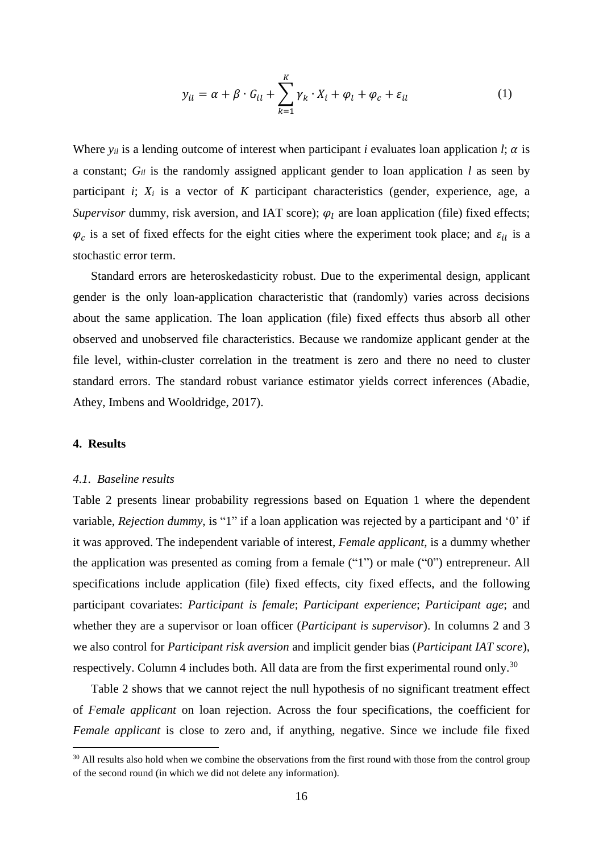$$
y_{il} = \alpha + \beta \cdot G_{il} + \sum_{k=1}^{K} \gamma_k \cdot X_i + \varphi_l + \varphi_c + \varepsilon_{il}
$$
 (1)

Where  $y_{il}$  is a lending outcome of interest when participant *i* evaluates loan application *l*;  $\alpha$  is a constant; *Gil* is the randomly assigned applicant gender to loan application *l* as seen by participant *i*; *X<sup>i</sup>* is a vector of *K* participant characteristics (gender, experience, age, a *Supervisor* dummy, risk aversion, and IAT score);  $\varphi_l$  are loan application (file) fixed effects;  $\varphi_c$  is a set of fixed effects for the eight cities where the experiment took place; and  $\varepsilon_{il}$  is a stochastic error term.

Standard errors are heteroskedasticity robust. Due to the experimental design, applicant gender is the only loan-application characteristic that (randomly) varies across decisions about the same application. The loan application (file) fixed effects thus absorb all other observed and unobserved file characteristics. Because we randomize applicant gender at the file level, within-cluster correlation in the treatment is zero and there no need to cluster standard errors. The standard robust variance estimator yields correct inferences (Abadie, Athey, Imbens and Wooldridge, 2017).

#### **4. Results**

#### *4.1. Baseline results*

Table 2 presents linear probability regressions based on Equation 1 where the dependent variable, *Rejection dummy*, is "1" if a loan application was rejected by a participant and '0' if it was approved. The independent variable of interest, *Female applicant*, is a dummy whether the application was presented as coming from a female ("1") or male ("0") entrepreneur. All specifications include application (file) fixed effects, city fixed effects, and the following participant covariates: *Participant is female*; *Participant experience*; *Participant age*; and whether they are a supervisor or loan officer (*Participant is supervisor*). In columns 2 and 3 we also control for *Participant risk aversion* and implicit gender bias (*Participant IAT score*), respectively. Column 4 includes both. All data are from the first experimental round only.<sup>30</sup>

Table 2 shows that we cannot reject the null hypothesis of no significant treatment effect of *Female applicant* on loan rejection. Across the four specifications, the coefficient for *Female applicant* is close to zero and, if anything, negative. Since we include file fixed

<sup>&</sup>lt;sup>30</sup> All results also hold when we combine the observations from the first round with those from the control group of the second round (in which we did not delete any information).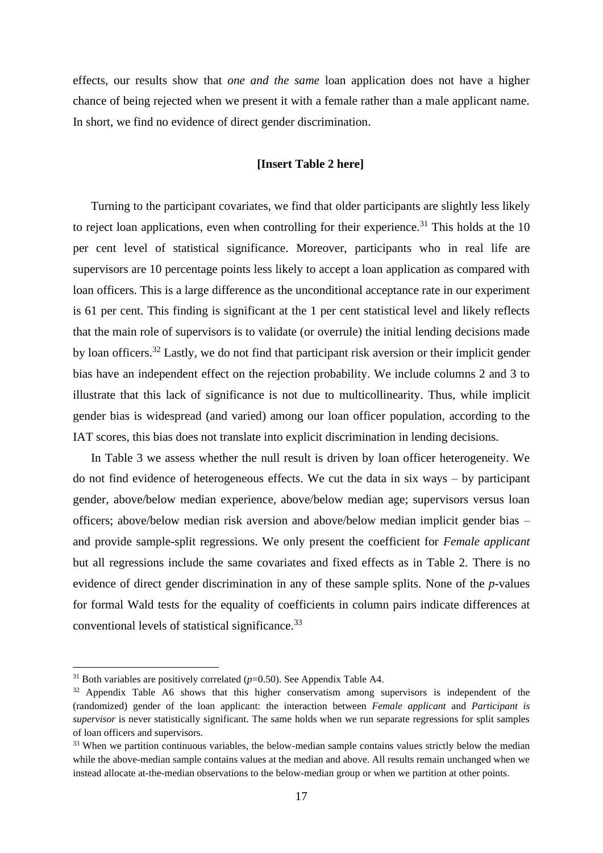effects, our results show that *one and the same* loan application does not have a higher chance of being rejected when we present it with a female rather than a male applicant name. In short, we find no evidence of direct gender discrimination.

## **[Insert Table 2 here]**

Turning to the participant covariates, we find that older participants are slightly less likely to reject loan applications, even when controlling for their experience.<sup>31</sup> This holds at the 10 per cent level of statistical significance. Moreover, participants who in real life are supervisors are 10 percentage points less likely to accept a loan application as compared with loan officers. This is a large difference as the unconditional acceptance rate in our experiment is 61 per cent. This finding is significant at the 1 per cent statistical level and likely reflects that the main role of supervisors is to validate (or overrule) the initial lending decisions made by loan officers.<sup>32</sup> Lastly, we do not find that participant risk aversion or their implicit gender bias have an independent effect on the rejection probability. We include columns 2 and 3 to illustrate that this lack of significance is not due to multicollinearity. Thus, while implicit gender bias is widespread (and varied) among our loan officer population, according to the IAT scores, this bias does not translate into explicit discrimination in lending decisions.

In Table 3 we assess whether the null result is driven by loan officer heterogeneity. We do not find evidence of heterogeneous effects. We cut the data in six ways – by participant gender, above/below median experience, above/below median age; supervisors versus loan officers; above/below median risk aversion and above/below median implicit gender bias – and provide sample-split regressions. We only present the coefficient for *Female applicant* but all regressions include the same covariates and fixed effects as in Table 2. There is no evidence of direct gender discrimination in any of these sample splits. None of the *p*-values for formal Wald tests for the equality of coefficients in column pairs indicate differences at conventional levels of statistical significance.<sup>33</sup>

<sup>&</sup>lt;sup>31</sup> Both variables are positively correlated  $(p=0.50)$ . See Appendix Table A4.

<sup>&</sup>lt;sup>32</sup> Appendix Table A6 shows that this higher conservatism among supervisors is independent of the (randomized) gender of the loan applicant: the interaction between *Female applicant* and *Participant is supervisor* is never statistically significant. The same holds when we run separate regressions for split samples of loan officers and supervisors.

<sup>&</sup>lt;sup>33</sup> When we partition continuous variables, the below-median sample contains values strictly below the median while the above-median sample contains values at the median and above. All results remain unchanged when we instead allocate at-the-median observations to the below-median group or when we partition at other points.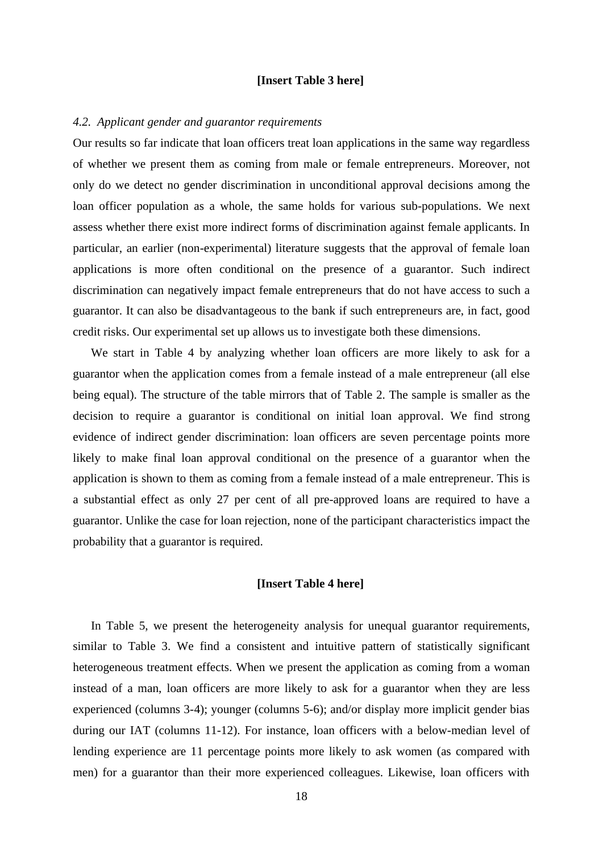#### **[Insert Table 3 here]**

#### *4.2. Applicant gender and guarantor requirements*

Our results so far indicate that loan officers treat loan applications in the same way regardless of whether we present them as coming from male or female entrepreneurs. Moreover, not only do we detect no gender discrimination in unconditional approval decisions among the loan officer population as a whole, the same holds for various sub-populations. We next assess whether there exist more indirect forms of discrimination against female applicants. In particular, an earlier (non-experimental) literature suggests that the approval of female loan applications is more often conditional on the presence of a guarantor. Such indirect discrimination can negatively impact female entrepreneurs that do not have access to such a guarantor. It can also be disadvantageous to the bank if such entrepreneurs are, in fact, good credit risks. Our experimental set up allows us to investigate both these dimensions.

We start in Table 4 by analyzing whether loan officers are more likely to ask for a guarantor when the application comes from a female instead of a male entrepreneur (all else being equal). The structure of the table mirrors that of Table 2. The sample is smaller as the decision to require a guarantor is conditional on initial loan approval. We find strong evidence of indirect gender discrimination: loan officers are seven percentage points more likely to make final loan approval conditional on the presence of a guarantor when the application is shown to them as coming from a female instead of a male entrepreneur. This is a substantial effect as only 27 per cent of all pre-approved loans are required to have a guarantor. Unlike the case for loan rejection, none of the participant characteristics impact the probability that a guarantor is required.

## **[Insert Table 4 here]**

In Table 5, we present the heterogeneity analysis for unequal guarantor requirements, similar to Table 3. We find a consistent and intuitive pattern of statistically significant heterogeneous treatment effects. When we present the application as coming from a woman instead of a man, loan officers are more likely to ask for a guarantor when they are less experienced (columns 3-4); younger (columns 5-6); and/or display more implicit gender bias during our IAT (columns 11-12). For instance, loan officers with a below-median level of lending experience are 11 percentage points more likely to ask women (as compared with men) for a guarantor than their more experienced colleagues. Likewise, loan officers with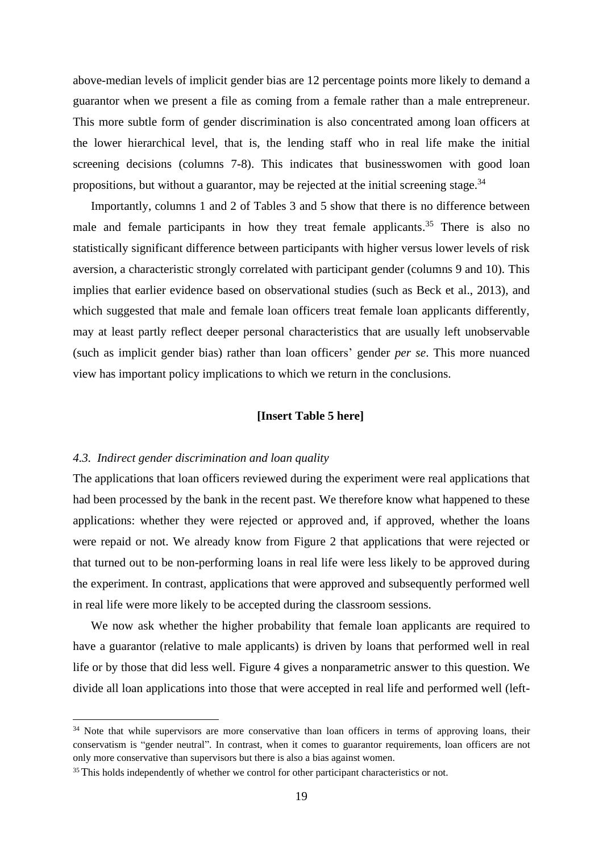above-median levels of implicit gender bias are 12 percentage points more likely to demand a guarantor when we present a file as coming from a female rather than a male entrepreneur. This more subtle form of gender discrimination is also concentrated among loan officers at the lower hierarchical level, that is, the lending staff who in real life make the initial screening decisions (columns 7-8). This indicates that businesswomen with good loan propositions, but without a guarantor, may be rejected at the initial screening stage. $34$ 

Importantly, columns 1 and 2 of Tables 3 and 5 show that there is no difference between male and female participants in how they treat female applicants.<sup>35</sup> There is also no statistically significant difference between participants with higher versus lower levels of risk aversion, a characteristic strongly correlated with participant gender (columns 9 and 10). This implies that earlier evidence based on observational studies (such as Beck et al., 2013), and which suggested that male and female loan officers treat female loan applicants differently, may at least partly reflect deeper personal characteristics that are usually left unobservable (such as implicit gender bias) rather than loan officers' gender *per se*. This more nuanced view has important policy implications to which we return in the conclusions.

## **[Insert Table 5 here]**

#### *4.3. Indirect gender discrimination and loan quality*

The applications that loan officers reviewed during the experiment were real applications that had been processed by the bank in the recent past. We therefore know what happened to these applications: whether they were rejected or approved and, if approved, whether the loans were repaid or not. We already know from Figure 2 that applications that were rejected or that turned out to be non-performing loans in real life were less likely to be approved during the experiment. In contrast, applications that were approved and subsequently performed well in real life were more likely to be accepted during the classroom sessions.

We now ask whether the higher probability that female loan applicants are required to have a guarantor (relative to male applicants) is driven by loans that performed well in real life or by those that did less well. Figure 4 gives a nonparametric answer to this question. We divide all loan applications into those that were accepted in real life and performed well (left-

 $34$  Note that while supervisors are more conservative than loan officers in terms of approving loans, their conservatism is "gender neutral". In contrast, when it comes to guarantor requirements, loan officers are not only more conservative than supervisors but there is also a bias against women.

<sup>&</sup>lt;sup>35</sup>This holds independently of whether we control for other participant characteristics or not.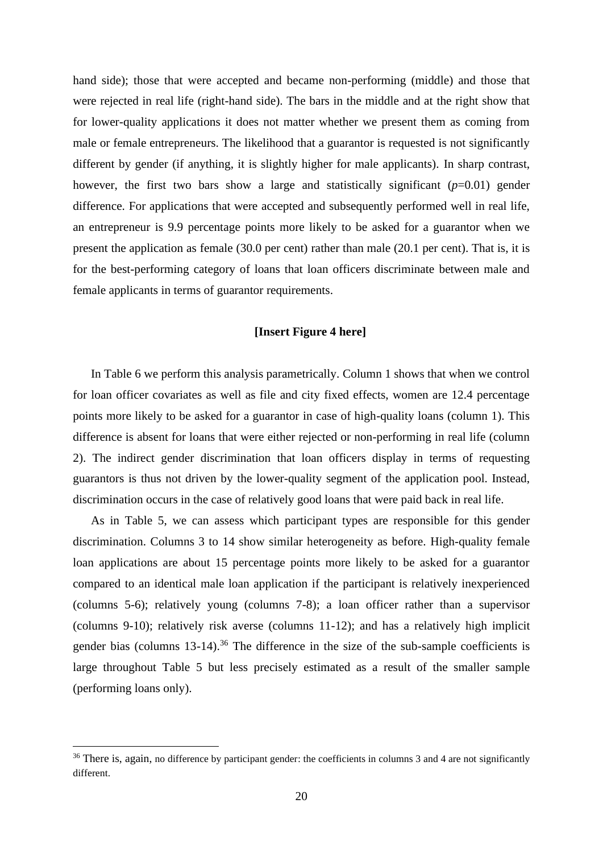hand side); those that were accepted and became non-performing (middle) and those that were rejected in real life (right-hand side). The bars in the middle and at the right show that for lower-quality applications it does not matter whether we present them as coming from male or female entrepreneurs. The likelihood that a guarantor is requested is not significantly different by gender (if anything, it is slightly higher for male applicants). In sharp contrast, however, the first two bars show a large and statistically significant  $(p=0.01)$  gender difference. For applications that were accepted and subsequently performed well in real life, an entrepreneur is 9.9 percentage points more likely to be asked for a guarantor when we present the application as female (30.0 per cent) rather than male (20.1 per cent). That is, it is for the best-performing category of loans that loan officers discriminate between male and female applicants in terms of guarantor requirements.

# **[Insert Figure 4 here]**

In Table 6 we perform this analysis parametrically. Column 1 shows that when we control for loan officer covariates as well as file and city fixed effects, women are 12.4 percentage points more likely to be asked for a guarantor in case of high-quality loans (column 1). This difference is absent for loans that were either rejected or non-performing in real life (column 2). The indirect gender discrimination that loan officers display in terms of requesting guarantors is thus not driven by the lower-quality segment of the application pool. Instead, discrimination occurs in the case of relatively good loans that were paid back in real life.

As in Table 5, we can assess which participant types are responsible for this gender discrimination. Columns 3 to 14 show similar heterogeneity as before. High-quality female loan applications are about 15 percentage points more likely to be asked for a guarantor compared to an identical male loan application if the participant is relatively inexperienced (columns 5-6); relatively young (columns 7-8); a loan officer rather than a supervisor (columns 9-10); relatively risk averse (columns 11-12); and has a relatively high implicit gender bias (columns 13-14).<sup>36</sup> The difference in the size of the sub-sample coefficients is large throughout Table 5 but less precisely estimated as a result of the smaller sample (performing loans only).

<sup>&</sup>lt;sup>36</sup> There is, again, no difference by participant gender: the coefficients in columns 3 and 4 are not significantly different.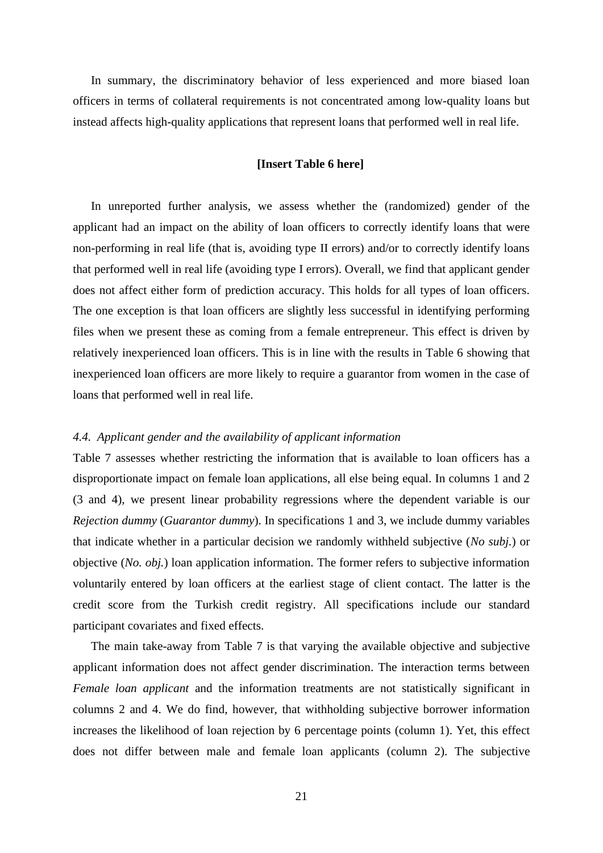In summary, the discriminatory behavior of less experienced and more biased loan officers in terms of collateral requirements is not concentrated among low-quality loans but instead affects high-quality applications that represent loans that performed well in real life.

## **[Insert Table 6 here]**

In unreported further analysis, we assess whether the (randomized) gender of the applicant had an impact on the ability of loan officers to correctly identify loans that were non-performing in real life (that is, avoiding type II errors) and/or to correctly identify loans that performed well in real life (avoiding type I errors). Overall, we find that applicant gender does not affect either form of prediction accuracy. This holds for all types of loan officers. The one exception is that loan officers are slightly less successful in identifying performing files when we present these as coming from a female entrepreneur. This effect is driven by relatively inexperienced loan officers. This is in line with the results in Table 6 showing that inexperienced loan officers are more likely to require a guarantor from women in the case of loans that performed well in real life.

## *4.4. Applicant gender and the availability of applicant information*

Table 7 assesses whether restricting the information that is available to loan officers has a disproportionate impact on female loan applications, all else being equal. In columns 1 and 2 (3 and 4), we present linear probability regressions where the dependent variable is our *Rejection dummy* (*Guarantor dummy*). In specifications 1 and 3, we include dummy variables that indicate whether in a particular decision we randomly withheld subjective (*No subj.*) or objective (*No. obj.*) loan application information. The former refers to subjective information voluntarily entered by loan officers at the earliest stage of client contact. The latter is the credit score from the Turkish credit registry. All specifications include our standard participant covariates and fixed effects.

The main take-away from Table 7 is that varying the available objective and subjective applicant information does not affect gender discrimination. The interaction terms between *Female loan applicant* and the information treatments are not statistically significant in columns 2 and 4. We do find, however, that withholding subjective borrower information increases the likelihood of loan rejection by 6 percentage points (column 1). Yet, this effect does not differ between male and female loan applicants (column 2). The subjective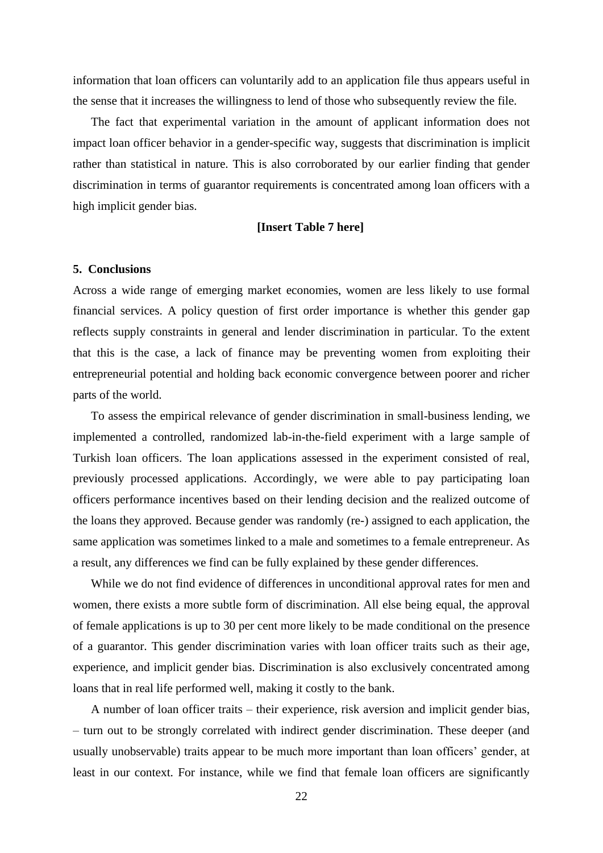information that loan officers can voluntarily add to an application file thus appears useful in the sense that it increases the willingness to lend of those who subsequently review the file.

The fact that experimental variation in the amount of applicant information does not impact loan officer behavior in a gender-specific way, suggests that discrimination is implicit rather than statistical in nature. This is also corroborated by our earlier finding that gender discrimination in terms of guarantor requirements is concentrated among loan officers with a high implicit gender bias.

#### **[Insert Table 7 here]**

#### **5. Conclusions**

Across a wide range of emerging market economies, women are less likely to use formal financial services. A policy question of first order importance is whether this gender gap reflects supply constraints in general and lender discrimination in particular. To the extent that this is the case, a lack of finance may be preventing women from exploiting their entrepreneurial potential and holding back economic convergence between poorer and richer parts of the world.

To assess the empirical relevance of gender discrimination in small-business lending, we implemented a controlled, randomized lab-in-the-field experiment with a large sample of Turkish loan officers. The loan applications assessed in the experiment consisted of real, previously processed applications. Accordingly, we were able to pay participating loan officers performance incentives based on their lending decision and the realized outcome of the loans they approved. Because gender was randomly (re-) assigned to each application, the same application was sometimes linked to a male and sometimes to a female entrepreneur. As a result, any differences we find can be fully explained by these gender differences.

While we do not find evidence of differences in unconditional approval rates for men and women, there exists a more subtle form of discrimination. All else being equal, the approval of female applications is up to 30 per cent more likely to be made conditional on the presence of a guarantor. This gender discrimination varies with loan officer traits such as their age, experience, and implicit gender bias. Discrimination is also exclusively concentrated among loans that in real life performed well, making it costly to the bank.

A number of loan officer traits – their experience, risk aversion and implicit gender bias, – turn out to be strongly correlated with indirect gender discrimination. These deeper (and usually unobservable) traits appear to be much more important than loan officers' gender, at least in our context. For instance, while we find that female loan officers are significantly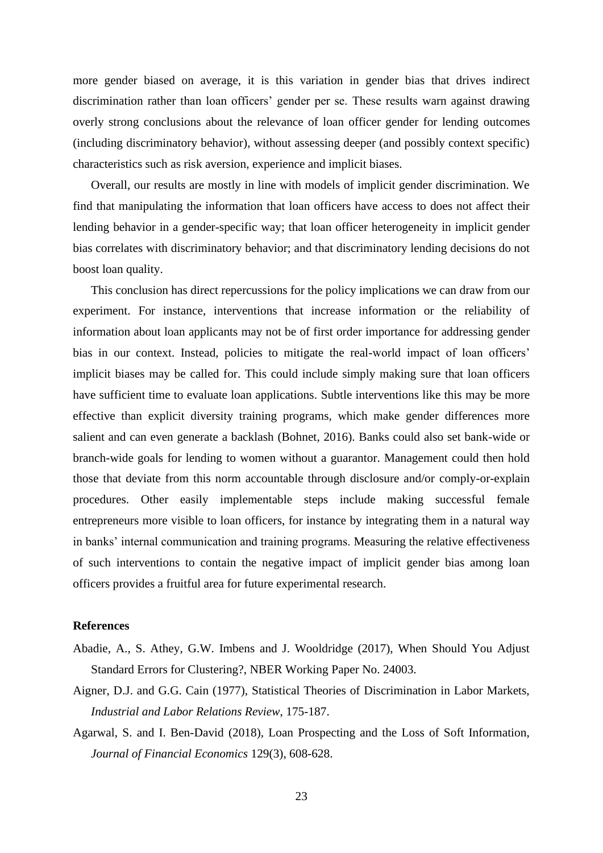more gender biased on average, it is this variation in gender bias that drives indirect discrimination rather than loan officers' gender per se. These results warn against drawing overly strong conclusions about the relevance of loan officer gender for lending outcomes (including discriminatory behavior), without assessing deeper (and possibly context specific) characteristics such as risk aversion, experience and implicit biases.

Overall, our results are mostly in line with models of implicit gender discrimination. We find that manipulating the information that loan officers have access to does not affect their lending behavior in a gender-specific way; that loan officer heterogeneity in implicit gender bias correlates with discriminatory behavior; and that discriminatory lending decisions do not boost loan quality.

This conclusion has direct repercussions for the policy implications we can draw from our experiment. For instance, interventions that increase information or the reliability of information about loan applicants may not be of first order importance for addressing gender bias in our context. Instead, policies to mitigate the real-world impact of loan officers' implicit biases may be called for. This could include simply making sure that loan officers have sufficient time to evaluate loan applications. Subtle interventions like this may be more effective than explicit diversity training programs, which make gender differences more salient and can even generate a backlash (Bohnet, 2016). Banks could also set bank-wide or branch-wide goals for lending to women without a guarantor. Management could then hold those that deviate from this norm accountable through disclosure and/or comply-or-explain procedures. Other easily implementable steps include making successful female entrepreneurs more visible to loan officers, for instance by integrating them in a natural way in banks' internal communication and training programs. Measuring the relative effectiveness of such interventions to contain the negative impact of implicit gender bias among loan officers provides a fruitful area for future experimental research.

## **References**

- Abadie, A., S. Athey, G.W. Imbens and J. Wooldridge (2017), When Should You Adjust Standard Errors for Clustering?, NBER Working Paper No. 24003.
- Aigner, D.J. and G.G. Cain (1977), Statistical Theories of Discrimination in Labor Markets, *Industrial and Labor Relations Review*, 175-187.
- Agarwal, S. and I. Ben-David (2018), Loan Prospecting and the Loss of Soft Information, *Journal of Financial Economics* 129(3), 608-628.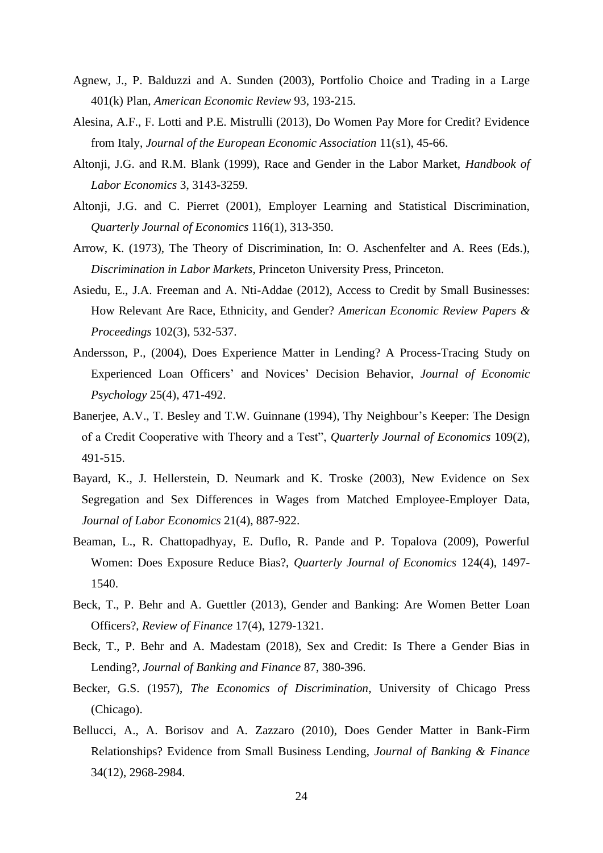- Agnew, J., P. Balduzzi and A. Sunden (2003), Portfolio Choice and Trading in a Large 401(k) Plan, *American Economic Review* 93, 193-215.
- Alesina, A.F., F. Lotti and P.E. Mistrulli (2013), Do Women Pay More for Credit? Evidence from Italy, *Journal of the European Economic Association* 11(s1), 45-66.
- Altonji, J.G. and R.M. Blank (1999), Race and Gender in the Labor Market, *Handbook of Labor Economics* 3, 3143-3259.
- Altonji, J.G. and C. Pierret (2001), Employer Learning and Statistical Discrimination, *Quarterly Journal of Economics* 116(1), 313-350.
- Arrow, K. (1973), The Theory of Discrimination, In: O. Aschenfelter and A. Rees (Eds.), *Discrimination in Labor Markets*, Princeton University Press, Princeton.
- Asiedu, E., J.A. Freeman and A. Nti-Addae (2012), Access to Credit by Small Businesses: How Relevant Are Race, Ethnicity, and Gender? *American Economic Review Papers & Proceedings* 102(3), 532-537.
- Andersson, P., (2004), Does Experience Matter in Lending? A Process-Tracing Study on Experienced Loan Officers' and Novices' Decision Behavior, *Journal of Economic Psychology* 25(4), 471-492.
- Banerjee, A.V., T. Besley and T.W. Guinnane (1994), Thy Neighbour's Keeper: The Design of a Credit Cooperative with Theory and a Test", *Quarterly Journal of Economics* 109(2), 491-515.
- Bayard, K., J. Hellerstein, D. Neumark and K. Troske (2003), New Evidence on Sex Segregation and Sex Differences in Wages from Matched Employee-Employer Data, *Journal of Labor Economics* 21(4), 887-922.
- Beaman, L., R. Chattopadhyay, E. Duflo, R. Pande and P. Topalova (2009), Powerful Women: Does Exposure Reduce Bias?, *Quarterly Journal of Economics* 124(4), 1497- 1540.
- Beck, T., P. Behr and A. Guettler (2013), Gender and Banking: Are Women Better Loan Officers?, *Review of Finance* 17(4), 1279-1321.
- Beck, T., P. Behr and A. Madestam (2018), Sex and Credit: Is There a Gender Bias in Lending?, *Journal of Banking and Finance* 87, 380-396.
- Becker, G.S. (1957), *The Economics of Discrimination*, University of Chicago Press (Chicago).
- Bellucci, A., A. Borisov and A. Zazzaro (2010), Does Gender Matter in Bank-Firm Relationships? Evidence from Small Business Lending, *Journal of Banking & Finance* 34(12), 2968-2984.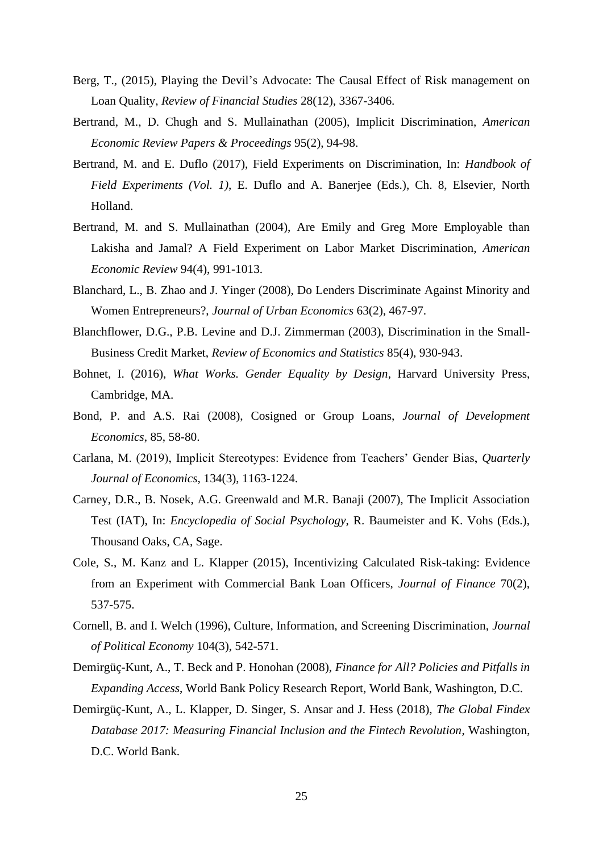- Berg, T., (2015), Playing the Devil's Advocate: The Causal Effect of Risk management on Loan Quality, *Review of Financial Studies* 28(12), 3367-3406.
- Bertrand, M., D. Chugh and S. Mullainathan (2005), Implicit Discrimination, *American Economic Review Papers & Proceedings* 95(2), 94-98.
- Bertrand, M. and E. Duflo (2017), Field Experiments on Discrimination, In: *Handbook of Field Experiments (Vol. 1)*, E. Duflo and A. Banerjee (Eds.), Ch. 8, Elsevier, North Holland.
- Bertrand, M. and S. Mullainathan (2004), Are Emily and Greg More Employable than Lakisha and Jamal? A Field Experiment on Labor Market Discrimination, *American Economic Review* 94(4), 991-1013.
- Blanchard, L., B. Zhao and J. Yinger (2008), Do Lenders Discriminate Against Minority and Women Entrepreneurs?, *Journal of Urban Economics* 63(2), 467-97.
- Blanchflower, D.G., P.B. Levine and D.J. Zimmerman (2003), Discrimination in the Small-Business Credit Market, *Review of Economics and Statistics* 85(4), 930-943.
- Bohnet, I. (2016), *What Works. Gender Equality by Design*, Harvard University Press, Cambridge, MA.
- Bond, P. and A.S. Rai (2008), Cosigned or Group Loans, *Journal of Development Economics*, 85, 58-80.
- Carlana, M. (2019), Implicit Stereotypes: Evidence from Teachers' Gender Bias, *Quarterly Journal of Economics*, 134(3), 1163-1224.
- Carney, D.R., B. Nosek, A.G. Greenwald and M.R. Banaji (2007), The Implicit Association Test (IAT), In: *Encyclopedia of Social Psychology*, R. Baumeister and K. Vohs (Eds.), Thousand Oaks, CA, Sage.
- Cole, S., M. Kanz and L. Klapper (2015), Incentivizing Calculated Risk-taking: Evidence from an Experiment with Commercial Bank Loan Officers, *Journal of Finance* 70(2), 537-575.
- Cornell, B. and I. Welch (1996), Culture, Information, and Screening Discrimination, *Journal of Political Economy* 104(3), 542-571.
- Demirgüç-Kunt, A., T. Beck and P. Honohan (2008), *Finance for All? Policies and Pitfalls in Expanding Access*, World Bank Policy Research Report, World Bank, Washington, D.C.
- Demirgüç-Kunt, A., L. Klapper, D. Singer, S. Ansar and J. Hess (2018), *The Global Findex Database 2017: Measuring Financial Inclusion and the Fintech Revolution*, Washington, D.C. World Bank.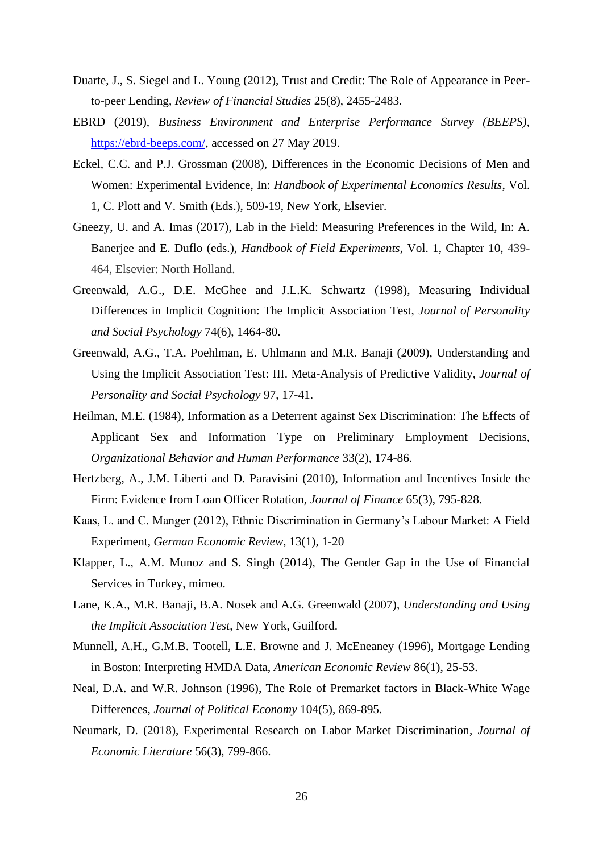- Duarte, J., S. Siegel and L. Young (2012), Trust and Credit: The Role of Appearance in Peerto-peer Lending, *Review of Financial Studies* 25(8), 2455-2483.
- EBRD (2019), *Business Environment and Enterprise Performance Survey (BEEPS)*, [https://ebrd-beeps.com/,](https://ebrd-beeps.com/) accessed on 27 May 2019.
- Eckel, C.C. and P.J. Grossman (2008), Differences in the Economic Decisions of Men and Women: Experimental Evidence, In: *Handbook of Experimental Economics Results*, Vol. 1, C. Plott and V. Smith (Eds.), 509-19, New York, Elsevier.
- Gneezy, U. and A. Imas (2017), Lab in the Field: Measuring Preferences in the Wild, In: A. Banerjee and E. Duflo (eds.), *Handbook of Field Experiments*, Vol. 1, Chapter 10, 439- 464, Elsevier: North Holland.
- Greenwald, A.G., D.E. McGhee and J.L.K. Schwartz (1998), Measuring Individual Differences in Implicit Cognition: The Implicit Association Test, *Journal of Personality and Social Psychology* 74(6), 1464-80.
- Greenwald, A.G., T.A. Poehlman, E. Uhlmann and M.R. Banaji (2009), Understanding and Using the Implicit Association Test: III. Meta-Analysis of Predictive Validity, *Journal of Personality and Social Psychology* 97, 17-41.
- Heilman, M.E. (1984), Information as a Deterrent against Sex Discrimination: The Effects of Applicant Sex and Information Type on Preliminary Employment Decisions, *Organizational Behavior and Human Performance* 33(2), 174-86.
- Hertzberg, A., J.M. Liberti and D. Paravisini (2010), Information and Incentives Inside the Firm: Evidence from Loan Officer Rotation, *Journal of Finance* 65(3), 795-828.
- Kaas, L. and C. Manger (2012), Ethnic Discrimination in Germany's Labour Market: A Field Experiment, *German Economic Review*, 13(1), 1-20
- Klapper, L., A.M. Munoz and S. Singh (2014), The Gender Gap in the Use of Financial Services in Turkey, mimeo.
- Lane, K.A., M.R. Banaji, B.A. Nosek and A.G. Greenwald (2007), *Understanding and Using the Implicit Association Test*, New York, Guilford.
- Munnell, A.H., G.M.B. Tootell, L.E. Browne and J. McEneaney (1996), Mortgage Lending in Boston: Interpreting HMDA Data, *American Economic Review* 86(1), 25-53.
- Neal, D.A. and W.R. Johnson (1996), The Role of Premarket factors in Black-White Wage Differences, *Journal of Political Economy* 104(5), 869-895.
- Neumark, D. (2018), Experimental Research on Labor Market Discrimination, *Journal of Economic Literature* 56(3), 799-866.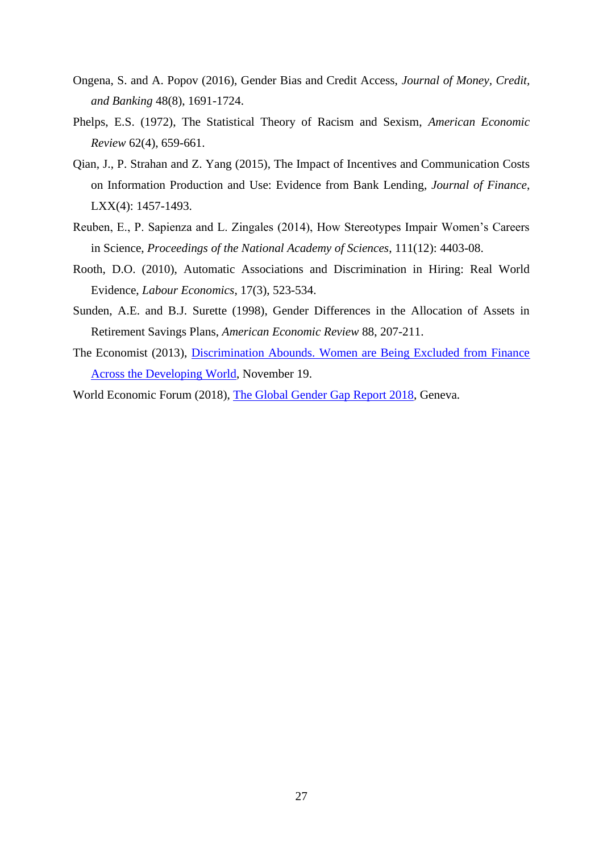- Ongena, S. and A. Popov (2016), Gender Bias and Credit Access, *Journal of Money, Credit, and Banking* 48(8), 1691-1724.
- Phelps, E.S. (1972), The Statistical Theory of Racism and Sexism, *American Economic Review* 62(4), 659-661.
- Qian, J., P. Strahan and Z. Yang (2015), The Impact of Incentives and Communication Costs on Information Production and Use: Evidence from Bank Lending, *Journal of Finance*, LXX(4): 1457-1493.
- Reuben, E., P. Sapienza and L. Zingales (2014), How Stereotypes Impair Women's Careers in Science, *Proceedings of the National Academy of Sciences*, 111(12): 4403-08.
- Rooth, D.O. (2010), Automatic Associations and Discrimination in Hiring: Real World Evidence, *Labour Economics*, 17(3), 523-534.
- Sunden, A.E. and B.J. Surette (1998), Gender Differences in the Allocation of Assets in Retirement Savings Plans, *American Economic Review* 88, 207-211.
- The Economist (2013), [Discrimination Abounds. Women are Being Excluded from Finance](https://www.economist.com/free-exchange/2013/11/19/discrimination-abounds)  [Across the Developing World,](https://www.economist.com/free-exchange/2013/11/19/discrimination-abounds) November 19.

World Economic Forum (2018), [The Global Gender Gap Report 2018,](https://www.weforum.org/reports/the-global-gender-gap-report-2018) Geneva.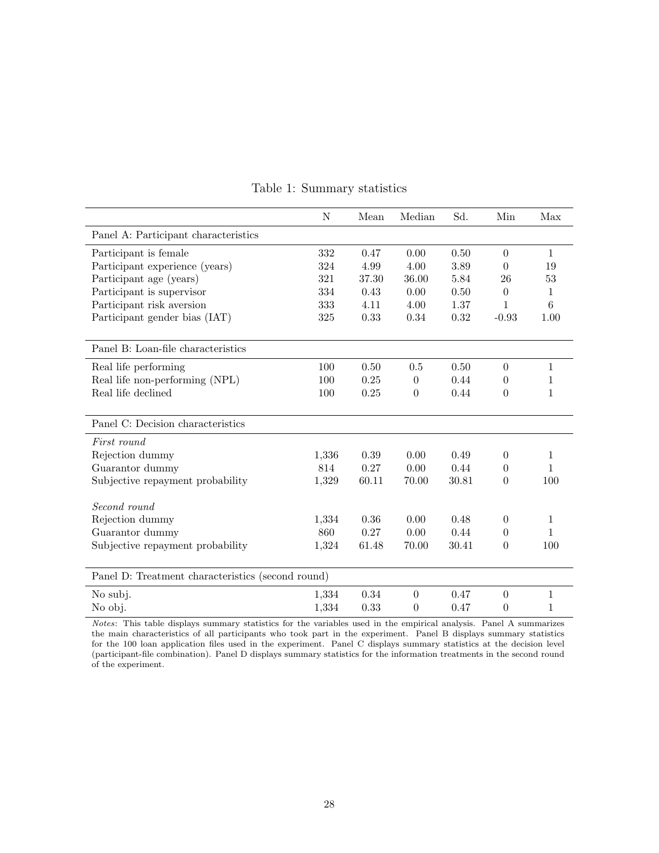| $\mathbf N$ | Mean                                                                                | Median               | Sd.          | Min          | Max                              |
|-------------|-------------------------------------------------------------------------------------|----------------------|--------------|--------------|----------------------------------|
|             |                                                                                     |                      |              |              |                                  |
| 332         | 0.47                                                                                | 0.00                 | 0.50         | $\theta$     | $\mathbf{1}$                     |
| 324         | 4.99                                                                                | 4.00                 | 3.89         | $\Omega$     | 19                               |
| 321         | 37.30                                                                               | 36.00                | 5.84         | 26           | 53                               |
| 334         | 0.43                                                                                | 0.00                 | 0.50         | $\theta$     | 1                                |
| 333         | 4.11                                                                                | 4.00                 | 1.37         | $\mathbf 1$  | 6                                |
| 325         | 0.33                                                                                | 0.34                 | 0.32         | $-0.93$      | 1.00                             |
|             |                                                                                     |                      |              |              |                                  |
|             |                                                                                     |                      |              |              |                                  |
| 100         | 0.50                                                                                | 0.5                  | 0.50         | $\Omega$     | 1                                |
| 100         | 0.25                                                                                | $\theta$             | 0.44         | $\theta$     | 1                                |
| 100         | 0.25                                                                                | $\theta$             | 0.44         | $\theta$     | $\mathbf{1}$                     |
|             |                                                                                     |                      |              |              |                                  |
|             |                                                                                     |                      |              |              |                                  |
|             |                                                                                     |                      |              |              |                                  |
| 1,336       | 0.39                                                                                | 0.00                 | 0.49         | $\theta$     | 1                                |
| 814         | 0.27                                                                                | 0.00                 | 0.44         | $\theta$     | 1                                |
| 1,329       | 60.11                                                                               | 70.00                | 30.81        | $\theta$     | 100                              |
|             |                                                                                     |                      |              |              |                                  |
|             |                                                                                     |                      |              |              | 1                                |
|             |                                                                                     |                      |              |              | $\mathbf{1}$                     |
|             | 61.48                                                                               | 70.00                | 30.41        | $\theta$     | 100                              |
|             |                                                                                     |                      |              |              |                                  |
|             |                                                                                     |                      |              |              |                                  |
|             |                                                                                     | $\theta$             | 0.47         |              | 1                                |
| 1,334       | 0.33                                                                                | $\theta$             | 0.47         | $\theta$     | 1                                |
|             | 1,334<br>860<br>1,324<br>Panel D: Treatment characteristics (second round)<br>1,334 | 0.36<br>0.27<br>0.34 | 0.00<br>0.00 | 0.48<br>0.44 | $\theta$<br>$\theta$<br>$\theta$ |

# Table 1: Summary statistics

Notes: This table displays summary statistics for the variables used in the empirical analysis. Panel A summarizes the main characteristics of all participants who took part in the experiment. Panel B displays summary statistics for the 100 loan application files used in the experiment. Panel C displays summary statistics at the decision level (participant-file combination). Panel D displays summary statistics for the information treatments in the second round of the experiment.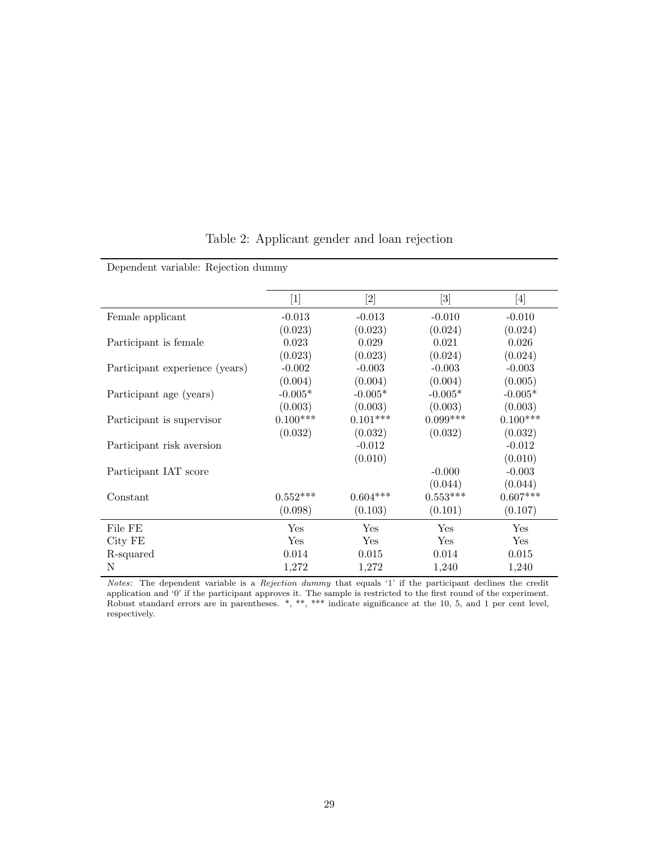|                                | $[1]$      |            | $[3] % \includegraphics[width=0.9\columnwidth]{figures/fig_1a} \caption{Schematic diagram of the top of the top of the top of the right.} \label{fig:1} %$ | [4]        |
|--------------------------------|------------|------------|------------------------------------------------------------------------------------------------------------------------------------------------------------|------------|
| Female applicant               | $-0.013$   | $-0.013$   | $-0.010$                                                                                                                                                   | $-0.010$   |
|                                | (0.023)    | (0.023)    | (0.024)                                                                                                                                                    | (0.024)    |
| Participant is female          | 0.023      | 0.029      | 0.021                                                                                                                                                      | 0.026      |
|                                | (0.023)    | (0.023)    | (0.024)                                                                                                                                                    | (0.024)    |
| Participant experience (years) | $-0.002$   | $-0.003$   | $-0.003$                                                                                                                                                   | $-0.003$   |
|                                | (0.004)    | (0.004)    | (0.004)                                                                                                                                                    | (0.005)    |
| Participant age (years)        | $-0.005*$  | $-0.005*$  | $-0.005*$                                                                                                                                                  | $-0.005*$  |
|                                | (0.003)    | (0.003)    | (0.003)                                                                                                                                                    | (0.003)    |
| Participant is supervisor      | $0.100***$ | $0.101***$ | $0.099***$                                                                                                                                                 | $0.100***$ |
|                                | (0.032)    | (0.032)    | (0.032)                                                                                                                                                    | (0.032)    |
| Participant risk aversion      |            | $-0.012$   |                                                                                                                                                            | $-0.012$   |
|                                |            | (0.010)    |                                                                                                                                                            | (0.010)    |
| Participant IAT score          |            |            | $-0.000$                                                                                                                                                   | $-0.003$   |
|                                |            |            | (0.044)                                                                                                                                                    | (0.044)    |
| Constant                       | $0.552***$ | $0.604***$ | $0.553***$                                                                                                                                                 | $0.607***$ |
|                                | (0.098)    | (0.103)    | (0.101)                                                                                                                                                    | (0.107)    |
| File FE                        | Yes        | Yes        | Yes                                                                                                                                                        | Yes        |
| City FE                        | Yes        | Yes        | Yes                                                                                                                                                        | Yes        |
| R-squared                      | 0.014      | 0.015      | 0.014                                                                                                                                                      | 0.015      |
| N                              | 1,272      | 1,272      | 1,240                                                                                                                                                      | 1,240      |

Table 2: Applicant gender and loan rejection

Dependent variable: Rejection dummy

Notes: The dependent variable is a Rejection dummy that equals '1' if the participant declines the credit application and '0' if the participant approves it. The sample is restricted to the first round of the experiment. Robust standard errors are in parentheses. \*, \*\*, \*\*\* indicate significance at the 10, 5, and 1 per cent level, respectively.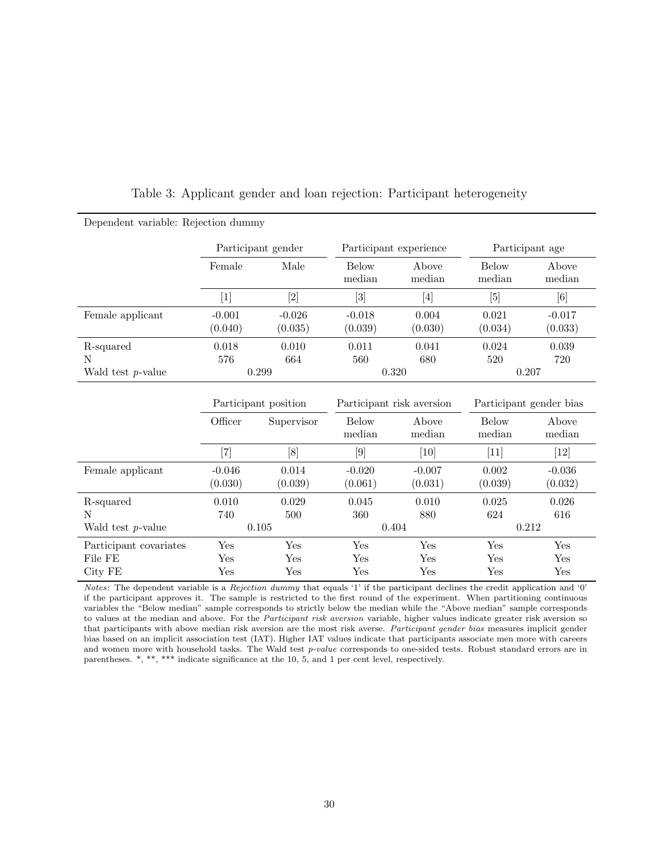| Dependent variable: Rejection dummy |                                                                                                                                                                                                                                                                                                       |                              |                           |                        |                         |                              |  |  |
|-------------------------------------|-------------------------------------------------------------------------------------------------------------------------------------------------------------------------------------------------------------------------------------------------------------------------------------------------------|------------------------------|---------------------------|------------------------|-------------------------|------------------------------|--|--|
|                                     |                                                                                                                                                                                                                                                                                                       | Participant gender           |                           | Participant experience | Participant age         |                              |  |  |
|                                     | Female                                                                                                                                                                                                                                                                                                | Male                         | <b>Below</b><br>median    | Above<br>median        | <b>Below</b><br>median  | Above<br>median              |  |  |
|                                     | $[1]$                                                                                                                                                                                                                                                                                                 | $\left\lceil 2 \right\rceil$ | $\lceil 3 \rceil$         | [4]                    | $[5]$                   | [6]                          |  |  |
| Female applicant                    | $-0.001$<br>(0.040)                                                                                                                                                                                                                                                                                   | $-0.026$<br>(0.035)          | $-0.018$<br>(0.039)       | 0.004<br>(0.030)       | 0.021<br>(0.034)        | $-0.017$<br>(0.033)          |  |  |
| R-squared<br>N                      | 0.018<br>576                                                                                                                                                                                                                                                                                          | 0.010<br>664                 | 0.011<br>560              | 0.041<br>680           | 0.024<br>520            | 0.039<br>720                 |  |  |
| Wald test $p$ -value                |                                                                                                                                                                                                                                                                                                       | 0.299                        | 0.320                     |                        | 0.207                   |                              |  |  |
|                                     | Participant position                                                                                                                                                                                                                                                                                  |                              | Participant risk aversion |                        | Participant gender bias |                              |  |  |
|                                     | Officer                                                                                                                                                                                                                                                                                               | Supervisor                   | <b>Below</b><br>median    | Above<br>median        | <b>Below</b><br>median  | Above<br>median              |  |  |
|                                     | $[7] \centering% \includegraphics[width=1.0\textwidth]{images/TrDiC-Architecture.png} \caption{The 3D (top) and the 4D (bottom) of the 3D (bottom) and the 4D (bottom) of the 3D (bottom) and the 4D (bottom) of the 3D (bottom) and the 4D (bottom) of the 3D (bottom).} \label{TrDiC-Architecture}$ | [8]                          | $\lceil 9 \rceil$         | [10]                   | $[11]$                  | $\left\lceil 12\right\rceil$ |  |  |
| Female applicant                    | $-0.046$<br>(0.030)                                                                                                                                                                                                                                                                                   | 0.014<br>(0.039)             | $-0.020$<br>(0.061)       | $-0.007$<br>(0.031)    | 0.002<br>(0.039)        | $-0.036$<br>(0.032)          |  |  |
| R-squared                           | 0.010                                                                                                                                                                                                                                                                                                 | 0.029                        | 0.045                     | 0.010                  | 0.025                   | 0.026                        |  |  |
| N<br>Wald test $p$ -value           | 740                                                                                                                                                                                                                                                                                                   | 500<br>0.105                 | 360<br>880<br>0.404       |                        | 624<br>616<br>0.212     |                              |  |  |
| Participant covariates              | Yes                                                                                                                                                                                                                                                                                                   | Yes                          | Yes                       | Yes                    | Yes                     | Yes                          |  |  |
|                                     |                                                                                                                                                                                                                                                                                                       |                              |                           |                        |                         |                              |  |  |
| File FE<br>City FE                  | Yes<br>Yes                                                                                                                                                                                                                                                                                            | Yes<br>Yes                   | Yes<br>Yes                | Yes<br>Yes             | Yes<br>Yes              | Yes<br>Yes                   |  |  |

Table 3: Applicant gender and loan rejection: Participant heterogeneity

Notes: The dependent variable is a Rejection dummy that equals '1' if the participant declines the credit application and '0' if the participant approves it. The sample is restricted to the first round of the experiment. When partitioning continuous variables the "Below median" sample corresponds to strictly below the median while the "Above median" sample corresponds to values at the median and above. For the *Participant risk aversion* variable, higher values indicate greater risk aversion so that participants with above median risk aversion are the most risk averse. Participant gender bias measures implicit gender bias based on an implicit association test (IAT). Higher IAT values indicate that participants associate men more with careers and women more with household tasks. The Wald test  $p-value$  corresponds to one-sided tests. Robust standard errors are in parentheses.  $*, **$ ,  $***$  indicate significance at the 10, 5, and 1 per cent level, respectively.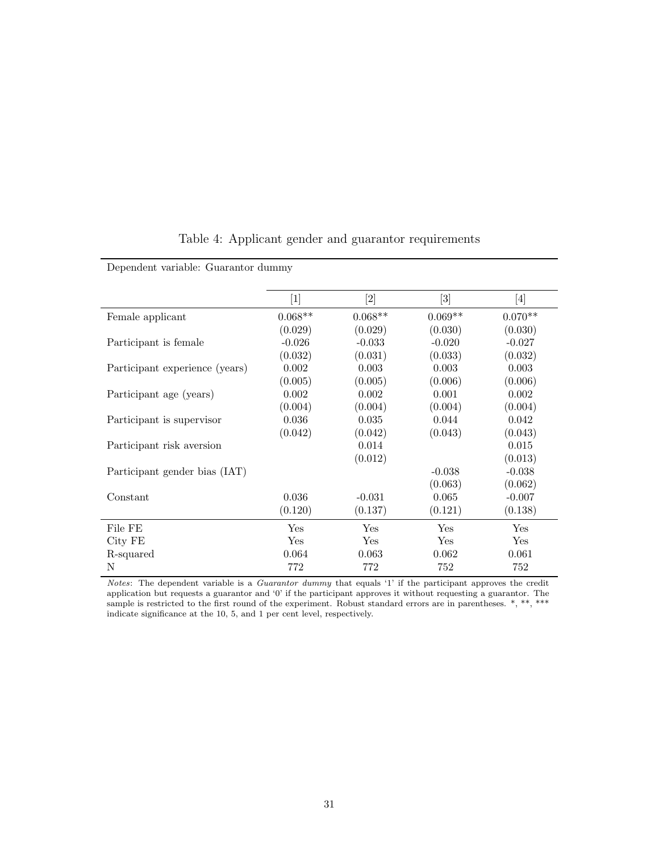|                                | [1]       | $[2]$     | $[3] % \includegraphics[width=0.9\columnwidth]{figures/fig_1a} \caption{Schematic diagram of the top of the top of the top of the right.} \label{fig:1} %$ | [4]       |
|--------------------------------|-----------|-----------|------------------------------------------------------------------------------------------------------------------------------------------------------------|-----------|
| Female applicant               | $0.068**$ | $0.068**$ | $0.069**$                                                                                                                                                  | $0.070**$ |
|                                | (0.029)   | (0.029)   | (0.030)                                                                                                                                                    | (0.030)   |
| Participant is female          | $-0.026$  | $-0.033$  | $-0.020$                                                                                                                                                   | $-0.027$  |
|                                | (0.032)   | (0.031)   | (0.033)                                                                                                                                                    | (0.032)   |
| Participant experience (years) | 0.002     | 0.003     | 0.003                                                                                                                                                      | 0.003     |
|                                | (0.005)   | (0.005)   | (0.006)                                                                                                                                                    | (0.006)   |
| Participant age (years)        | 0.002     | 0.002     | 0.001                                                                                                                                                      | 0.002     |
|                                | (0.004)   | (0.004)   | (0.004)                                                                                                                                                    | (0.004)   |
| Participant is supervisor      | 0.036     | 0.035     | 0.044                                                                                                                                                      | 0.042     |
|                                | (0.042)   | (0.042)   | (0.043)                                                                                                                                                    | (0.043)   |
| Participant risk aversion      |           | 0.014     |                                                                                                                                                            | 0.015     |
|                                |           | (0.012)   |                                                                                                                                                            | (0.013)   |
| Participant gender bias (IAT)  |           |           | $-0.038$                                                                                                                                                   | $-0.038$  |
|                                |           |           | (0.063)                                                                                                                                                    | (0.062)   |
| Constant                       | 0.036     | $-0.031$  | 0.065                                                                                                                                                      | $-0.007$  |
|                                | (0.120)   | (0.137)   | (0.121)                                                                                                                                                    | (0.138)   |
| File FE                        | Yes       | Yes       | Yes                                                                                                                                                        | Yes       |
| City FE                        | Yes       | Yes       | Yes                                                                                                                                                        | Yes       |
| R-squared                      | 0.064     | 0.063     | 0.062                                                                                                                                                      | 0.061     |
| N                              | 772       | 772       | 752                                                                                                                                                        | 752       |

# Table 4: Applicant gender and guarantor requirements

Notes: The dependent variable is a Guarantor dummy that equals '1' if the participant approves the credit application but requests a guarantor and '0' if the participant approves it without requesting a guarantor. The sample is restricted to the first round of the experiment. Robust standard errors are in parentheses. \*, \*\*, \*\*\* indicate significance at the 10, 5, and 1 per cent level, respectively.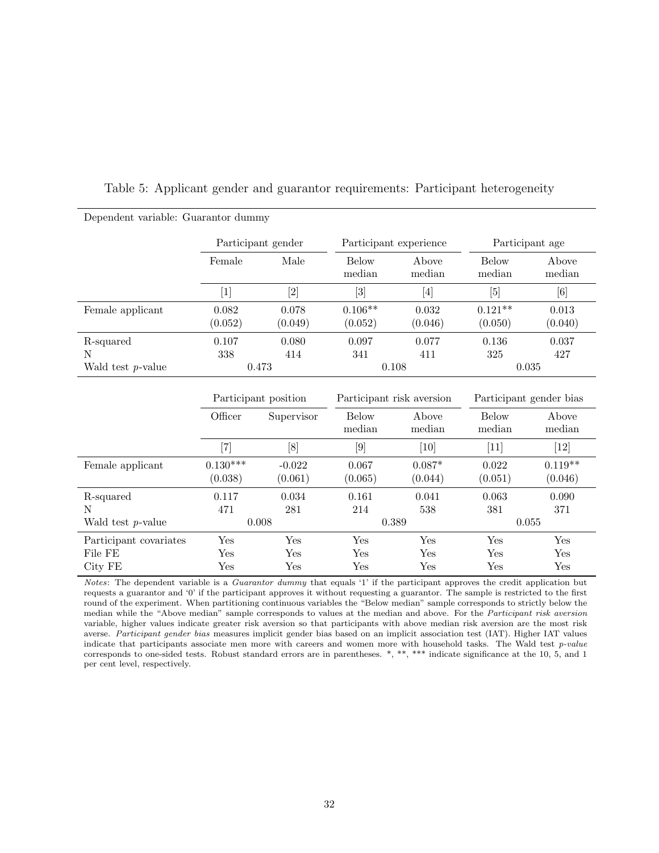| Dependent variable: Guarantor dummy |                              |                     |                           |                        |                         |                              |  |
|-------------------------------------|------------------------------|---------------------|---------------------------|------------------------|-------------------------|------------------------------|--|
|                                     |                              | Participant gender  |                           | Participant experience | Participant age         |                              |  |
|                                     | Female                       | Male                | <b>Below</b><br>median    | Above<br>median        | <b>Below</b><br>median  | Above<br>median              |  |
|                                     | $[1]$                        | $[2]$               | $[3]$                     | $[4]$                  | [5]                     | [6]                          |  |
| Female applicant                    | 0.082<br>(0.052)             | 0.078<br>(0.049)    | $0.106**$<br>(0.052)      | 0.032<br>(0.046)       | $0.121**$<br>(0.050)    | 0.013<br>(0.040)             |  |
| R-squared<br>N                      | 0.107<br>338                 | 0.080<br>414        | 0.097<br>341              | 0.077<br>411           | 0.136<br>325            | 0.037<br>427                 |  |
| Wald test $p$ -value                |                              | 0.473               |                           | 0.108                  | 0.035                   |                              |  |
|                                     | Participant position         |                     | Participant risk aversion |                        | Participant gender bias |                              |  |
|                                     | Officer                      | Supervisor          | <b>Below</b><br>median    | Above<br>median        | <b>Below</b><br>median  | Above<br>median              |  |
|                                     | $\left\lceil 7 \right\rceil$ | [8]                 | [9]                       | [10]                   | $[11]$                  | $\left\lceil 12\right\rceil$ |  |
| Female applicant                    | $0.130***$<br>(0.038)        | $-0.022$<br>(0.061) | 0.067<br>(0.065)          | $0.087*$<br>(0.044)    | 0.022<br>(0.051)        | $0.119**$<br>(0.046)         |  |
| R-squared                           | 0.117                        | 0.034               | 0.161                     | 0.041                  | 0.063                   | 0.090                        |  |
| N                                   | 471                          | 281                 | 214                       | 538                    | 381                     | 371                          |  |
| Wald test $p$ -value                |                              | 0.008               |                           | 0.389                  | 0.055                   |                              |  |
| Participant covariates              | Yes                          | Yes                 | Yes                       | Yes                    | Yes                     | Yes                          |  |
| File FE                             | Yes                          | Yes                 | Yes                       | Yes                    | Yes                     | Yes                          |  |
| City FE                             | $_{\rm Yes}$                 | Yes                 | Yes                       | $_{\rm Yes}$           | Yes                     | Yes                          |  |

Notes: The dependent variable is a Guarantor dummy that equals '1' if the participant approves the credit application but requests a guarantor and '0' if the participant approves it without requesting a guarantor. The sample is restricted to the first round of the experiment. When partitioning continuous variables the "Below median" sample corresponds to strictly below the median while the "Above median" sample corresponds to values at the median and above. For the Participant risk aversion variable, higher values indicate greater risk aversion so that participants with above median risk aversion are the most risk averse. Participant gender bias measures implicit gender bias based on an implicit association test (IAT). Higher IAT values indicate that participants associate men more with careers and women more with household tasks. The Wald test p-value corresponds to one-sided tests. Robust standard errors are in parentheses. \*, \*\*, \*\*\* indicate significance at the 10, 5, and 1 per cent level, respectively.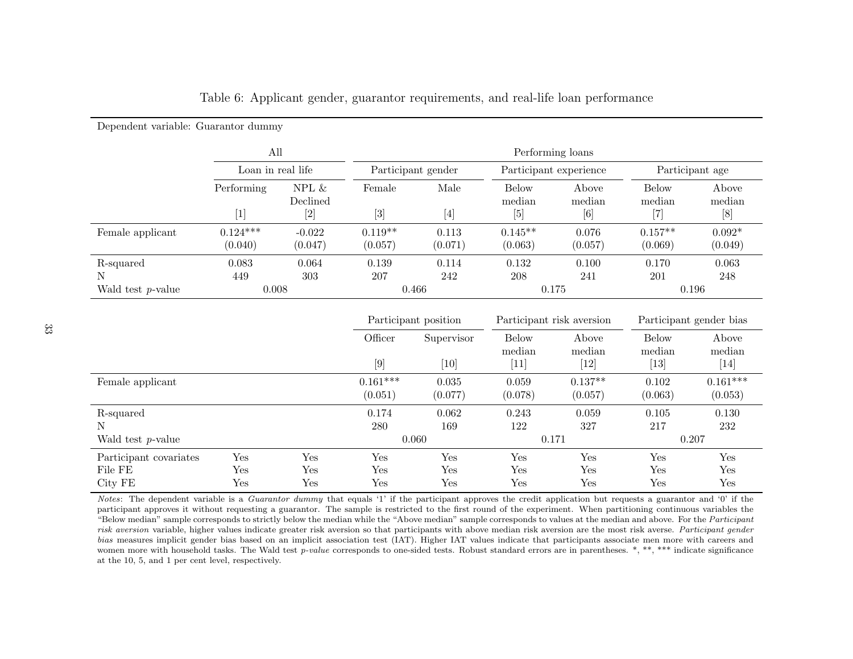|                      | All<br>Loan in real life |                                                                                                                                                                                  | Performing loans                                                                                                                                                                 |                                                                                                                                                                |                        |                                                                                                                                                                 |                        |                     |  |
|----------------------|--------------------------|----------------------------------------------------------------------------------------------------------------------------------------------------------------------------------|----------------------------------------------------------------------------------------------------------------------------------------------------------------------------------|----------------------------------------------------------------------------------------------------------------------------------------------------------------|------------------------|-----------------------------------------------------------------------------------------------------------------------------------------------------------------|------------------------|---------------------|--|
|                      |                          |                                                                                                                                                                                  | Participant gender                                                                                                                                                               |                                                                                                                                                                | Participant experience |                                                                                                                                                                 | Participant age        |                     |  |
|                      | Performing               | NPL $\&$<br>Declined                                                                                                                                                             | Female                                                                                                                                                                           | Male                                                                                                                                                           | <b>Below</b><br>median | Above<br>median                                                                                                                                                 | <b>Below</b><br>median | Above<br>median     |  |
|                      | [1]                      | $[2] % \includegraphics[width=1\textwidth]{images/TrDiM-Architecture.png} \caption{The figure shows the number of parameters in the left and right.} \label{TrDiM-Architecture}$ | $[3] % \includegraphics[width=0.9\columnwidth]{figures/fig_1a} \caption{Schematic diagram of the top of the top of the top of the top of the top of the right.} \label{fig:1} %$ | $[4] % \includegraphics[width=0.9\columnwidth]{images/TrDiM1.png} \caption{The figure shows the number of parameters in the left and right.} \label{TrDiM2} %$ |                        | $[6] % \includegraphics[width=0.9\columnwidth]{figures/fig_0.pdf} \caption{A small number of samples of the estimators in the left hand side.} \label{fig:2} %$ | [7]                    | [8]                 |  |
| Female applicant     | $0.124***$<br>(0.040)    | $-0.022$<br>(0.047)                                                                                                                                                              | $0.119**$<br>(0.057)                                                                                                                                                             | 0.113<br>(0.071)                                                                                                                                               | $0.145**$<br>(0.063)   | 0.076<br>(0.057)                                                                                                                                                | $0.157**$<br>(0.069)   | $0.092*$<br>(0.049) |  |
| R-squared<br>N       | 0.083<br>449             | 0.064<br>303                                                                                                                                                                     | 0.139<br>207                                                                                                                                                                     | 0.114<br>242                                                                                                                                                   | 0.132<br>208           | 0.100<br>241                                                                                                                                                    | 0.170<br>201           | 0.063<br>248        |  |
| Wald test $p$ -value | 0.008                    |                                                                                                                                                                                  | 0.466                                                                                                                                                                            |                                                                                                                                                                | 0.175                  |                                                                                                                                                                 | 0.196                  |                     |  |

Table 6: Applicant gender, guarantor requirements, and real-life loan performance

|                        |     |     | Participant position  |                  | Participant risk aversion     |                      | Participant gender bias |                       |
|------------------------|-----|-----|-----------------------|------------------|-------------------------------|----------------------|-------------------------|-----------------------|
|                        |     |     | Officer               | Supervisor       | <b>Below</b><br>median        | Above<br>median      | <b>Below</b><br>median  | Above<br>median       |
|                        |     |     | $[9]$                 | $[10]$           | $\left\lceil 11 \right\rceil$ | [12]                 | $\left[ 13\right]$      | $[14]$                |
| Female applicant       |     |     | $0.161***$<br>(0.051) | 0.035<br>(0.077) | 0.059<br>(0.078)              | $0.137**$<br>(0.057) | 0.102<br>(0.063)        | $0.161***$<br>(0.053) |
| R-squared              |     |     | 0.174                 | 0.062            | 0.243                         | 0.059                | 0.105                   | 0.130                 |
| N                      |     |     | 280                   | 169              | 122                           | 327                  | 217                     | 232                   |
| Wald test $p$ -value   |     |     | 0.060                 |                  | 0.171                         |                      | 0.207                   |                       |
| Participant covariates | Yes | Yes | Yes                   | Yes              | Yes                           | Yes                  | Yes                     | Yes                   |
| File FE                | Yes | Yes | Yes                   | Yes              | Yes                           | Yes                  | Yes                     | Yes                   |
| City FE                | Yes | Yes | $_{\rm Yes}$          | Yes              | Yes                           | Yes                  | Yes                     | Yes                   |

Notes: The dependent variable is a *Guarantor dummy* that equals '1' if the participant approves the credit application but requests a guarantor and '0' if the participant approves it without requesting <sup>a</sup> guarantor. The sample is restricted to the first round of the experiment. When partitioning continuous variables the"Below median" sample corresponds to strictly below the median while the "Above median" sample corresponds to values at the median and above. For the *Participant* risk aversion variable, higher values indicate greater risk aversion so that participants with above median risk aversion are the most risk averse. Participant gender bias measures implicit gender bias based on an implicit association test (IAT). Higher IAT values indicate that participants associate men more with careers andwomen more with household tasks. The Wald test *p-value* corresponds to one-sided tests. Robust standard errors are in parentheses. \*, \*\*, \*\*\* indicate significance at the 10, 5, and 1 per cent level, respectively.

Dependent variable: Guarantor dummy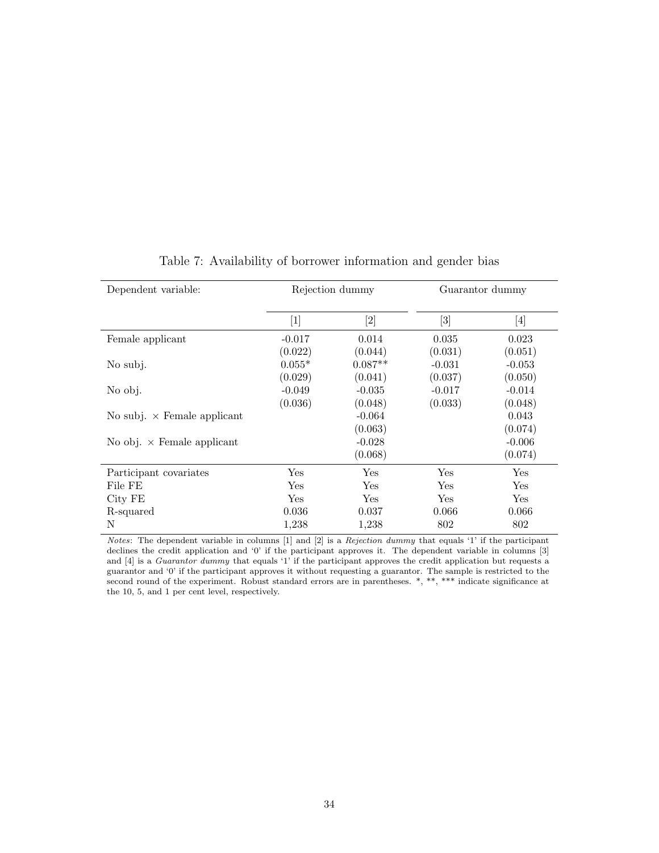| Dependent variable:                | Rejection dummy |           | Guarantor dummy                                                                                                                                            |          |
|------------------------------------|-----------------|-----------|------------------------------------------------------------------------------------------------------------------------------------------------------------|----------|
|                                    | $[1]$           |           | $[3] % \includegraphics[width=0.9\columnwidth]{figures/fig_1a} \caption{Schematic diagram of the top of the top of the top of the right.} \label{fig:1} %$ | $[4]$    |
| Female applicant                   | $-0.017$        | 0.014     | 0.035                                                                                                                                                      | 0.023    |
|                                    | (0.022)         | (0.044)   | (0.031)                                                                                                                                                    | (0.051)  |
| No subj.                           | $0.055*$        | $0.087**$ | $-0.031$                                                                                                                                                   | $-0.053$ |
|                                    | (0.029)         | (0.041)   | (0.037)                                                                                                                                                    | (0.050)  |
| No obj.                            | $-0.049$        | $-0.035$  | $-0.017$                                                                                                                                                   | $-0.014$ |
|                                    | (0.036)         | (0.048)   | (0.033)                                                                                                                                                    | (0.048)  |
| No subj. $\times$ Female applicant |                 | $-0.064$  |                                                                                                                                                            | 0.043    |
|                                    |                 | (0.063)   |                                                                                                                                                            | (0.074)  |
| No obj. $\times$ Female applicant  |                 | $-0.028$  |                                                                                                                                                            | $-0.006$ |
|                                    |                 | (0.068)   |                                                                                                                                                            | (0.074)  |
| Participant covariates             | Yes             | Yes       | Yes                                                                                                                                                        | Yes      |
| File FE                            | Yes             | Yes       | Yes                                                                                                                                                        | Yes      |
| City FE                            | Yes.            | Yes       | Yes                                                                                                                                                        | Yes      |
| R-squared                          | 0.036           | 0.037     | 0.066                                                                                                                                                      | 0.066    |
| N                                  | 1,238           | 1,238     | 802                                                                                                                                                        | 802      |

# Table 7: Availability of borrower information and gender bias

Notes: The dependent variable in columns  $[1]$  and  $[2]$  is a Rejection dummy that equals '1' if the participant declines the credit application and '0' if the participant approves it. The dependent variable in columns [3] and [4] is a Guarantor dummy that equals '1' if the participant approves the credit application but requests a guarantor and '0' if the participant approves it without requesting a guarantor. The sample is restricted to the second round of the experiment. Robust standard errors are in parentheses. \*, \*\*, \*\*\* indicate significance at the 10, 5, and 1 per cent level, respectively.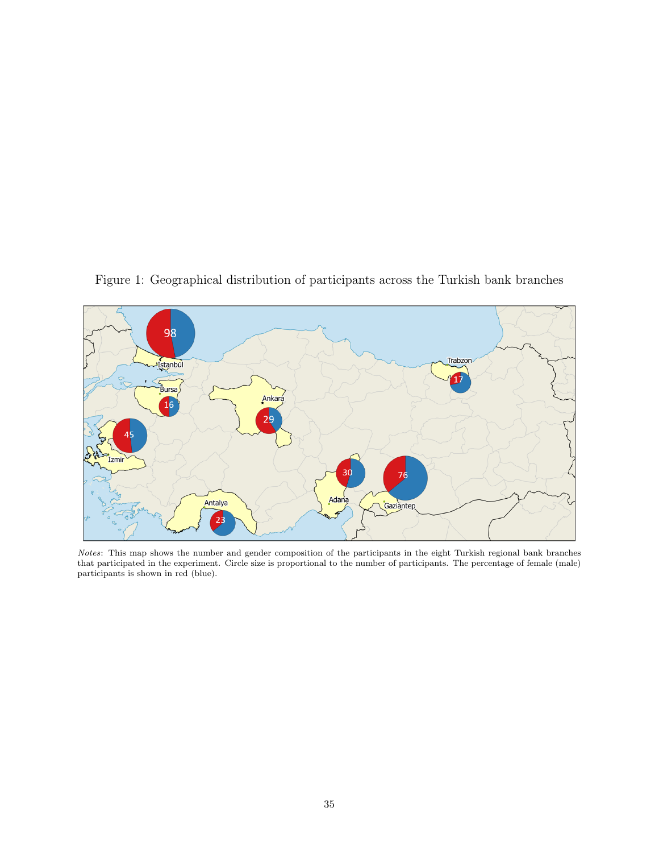

Figure 1: Geographical distribution of participants across the Turkish bank branches

Notes: This map shows the number and gender composition of the participants in the eight Turkish regional bank branches that participated in the experiment. Circle size is proportional to the number of participants. The percentage of female (male) participants is shown in red (blue).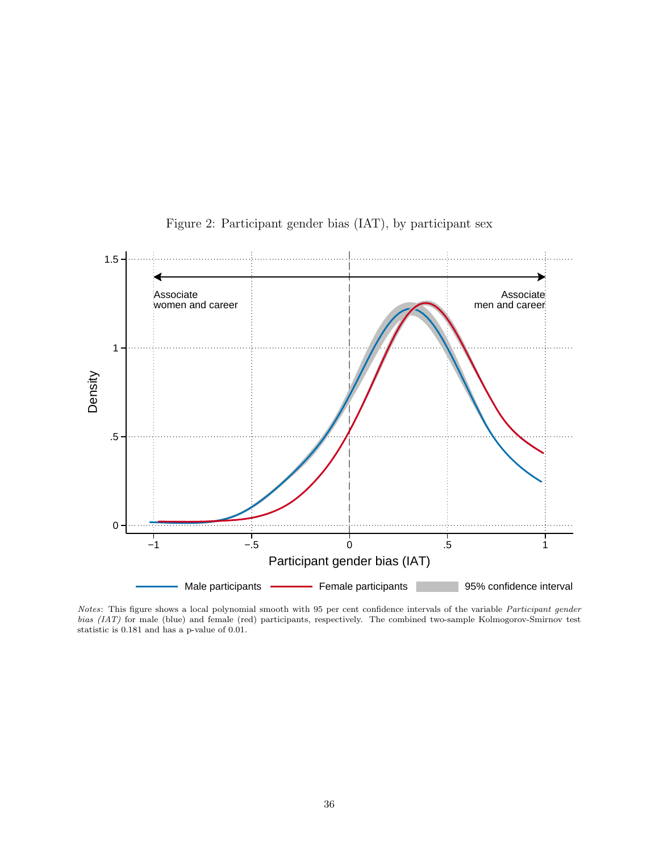

Figure 2: Participant gender bias (IAT), by participant sex

Notes: This figure shows a local polynomial smooth with 95 per cent confidence intervals of the variable Participant gender bias (IAT) for male (blue) and female (red) participants, respectively. The combined two-sample Kolmogorov-Smirnov test statistic is 0.181 and has a p-value of 0.01.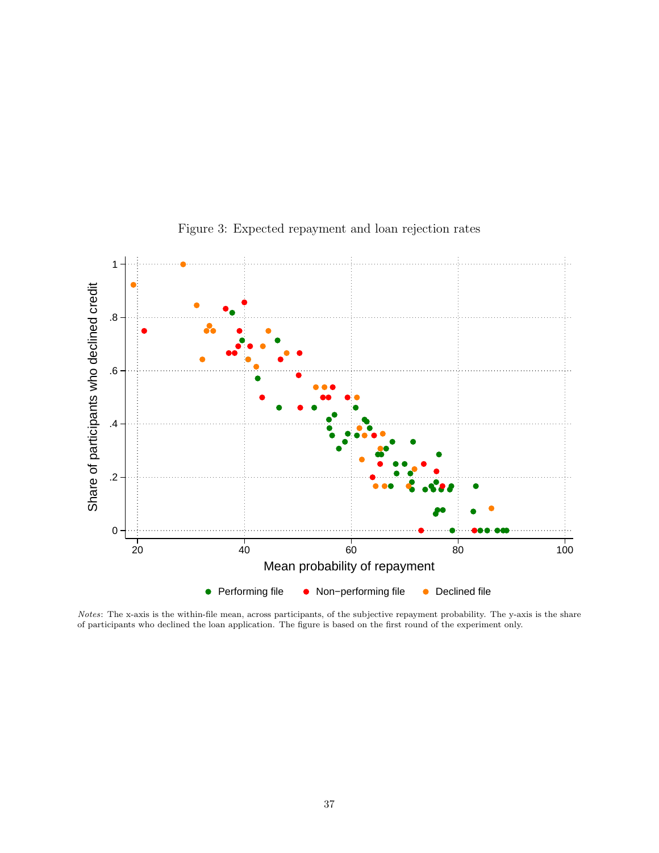

Figure 3: Expected repayment and loan rejection rates

Notes: The x-axis is the within-file mean, across participants, of the subjective repayment probability. The y-axis is the share of participants who declined the loan application. The figure is based on the first round of the experiment only.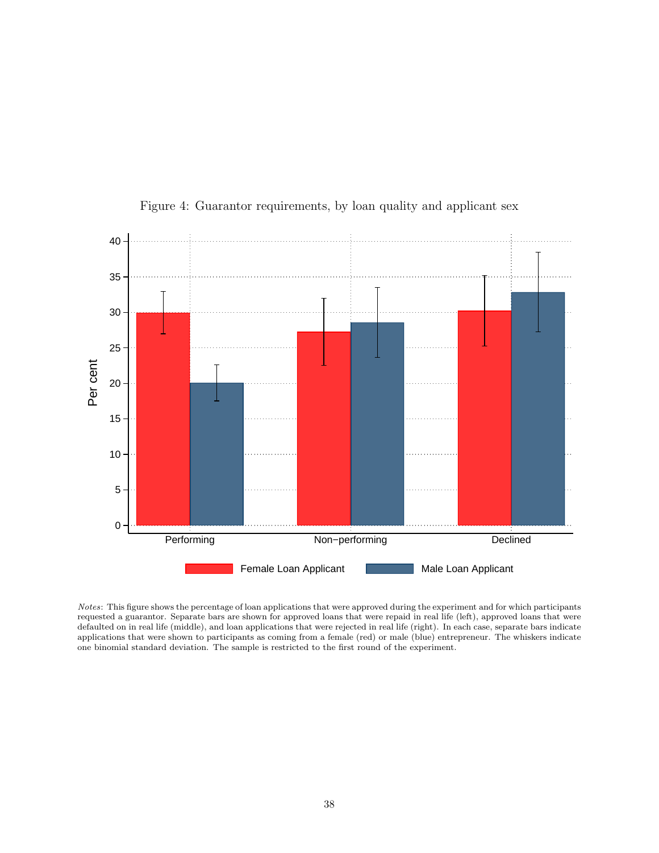

Figure 4: Guarantor requirements, by loan quality and applicant sex

Notes: This figure shows the percentage of loan applications that were approved during the experiment and for which participants requested a guarantor. Separate bars are shown for approved loans that were repaid in real life (left), approved loans that were defaulted on in real life (middle), and loan applications that were rejected in real life (right). In each case, separate bars indicate applications that were shown to participants as coming from a female (red) or male (blue) entrepreneur. The whiskers indicate one binomial standard deviation. The sample is restricted to the first round of the experiment.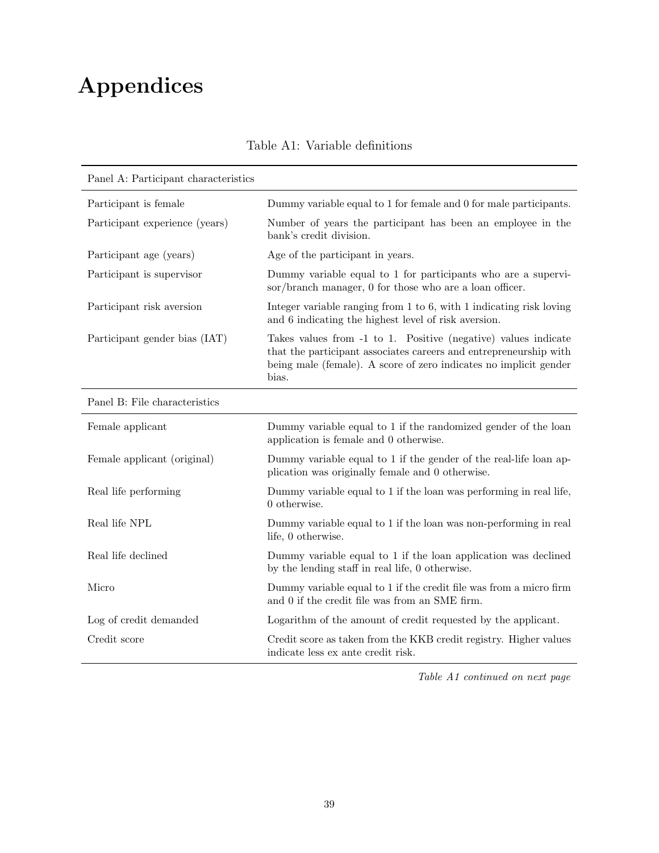# Appendices

| Panel A: Participant characteristics |                                                                                                                                                                                                                   |
|--------------------------------------|-------------------------------------------------------------------------------------------------------------------------------------------------------------------------------------------------------------------|
| Participant is female                | Dummy variable equal to 1 for female and 0 for male participants.                                                                                                                                                 |
| Participant experience (years)       | Number of years the participant has been an employee in the<br>bank's credit division.                                                                                                                            |
| Participant age (years)              | Age of the participant in years.                                                                                                                                                                                  |
| Participant is supervisor            | Dummy variable equal to 1 for participants who are a supervi-<br>sor/branch manager, 0 for those who are a loan officer.                                                                                          |
| Participant risk aversion            | Integer variable ranging from 1 to 6, with 1 indicating risk loving<br>and 6 indicating the highest level of risk aversion.                                                                                       |
| Participant gender bias (IAT)        | Takes values from -1 to 1. Positive (negative) values indicate<br>that the participant associates careers and entrepreneurship with<br>being male (female). A score of zero indicates no implicit gender<br>bias. |
| Panel B: File characteristics        |                                                                                                                                                                                                                   |
| Female applicant                     | Dummy variable equal to 1 if the randomized gender of the loan<br>application is female and 0 otherwise.                                                                                                          |
| Female applicant (original)          | Dummy variable equal to 1 if the gender of the real-life loan ap-<br>plication was originally female and 0 otherwise.                                                                                             |
| Real life performing                 | Dummy variable equal to 1 if the loan was performing in real life,<br>$0$ otherwise.                                                                                                                              |
| Real life NPL                        | Dummy variable equal to 1 if the loan was non-performing in real<br>life, 0 otherwise.                                                                                                                            |
| Real life declined                   | Dummy variable equal to 1 if the loan application was declined<br>by the lending staff in real life, 0 otherwise.                                                                                                 |
| Micro                                | Dummy variable equal to 1 if the credit file was from a micro firm<br>and 0 if the credit file was from an SME firm.                                                                                              |
| Log of credit demanded               | Logarithm of the amount of credit requested by the applicant.                                                                                                                                                     |
| Credit score                         | Credit score as taken from the KKB credit registry. Higher values<br>indicate less ex ante credit risk.                                                                                                           |

Table A1: Variable definitions

Table A1 continued on next page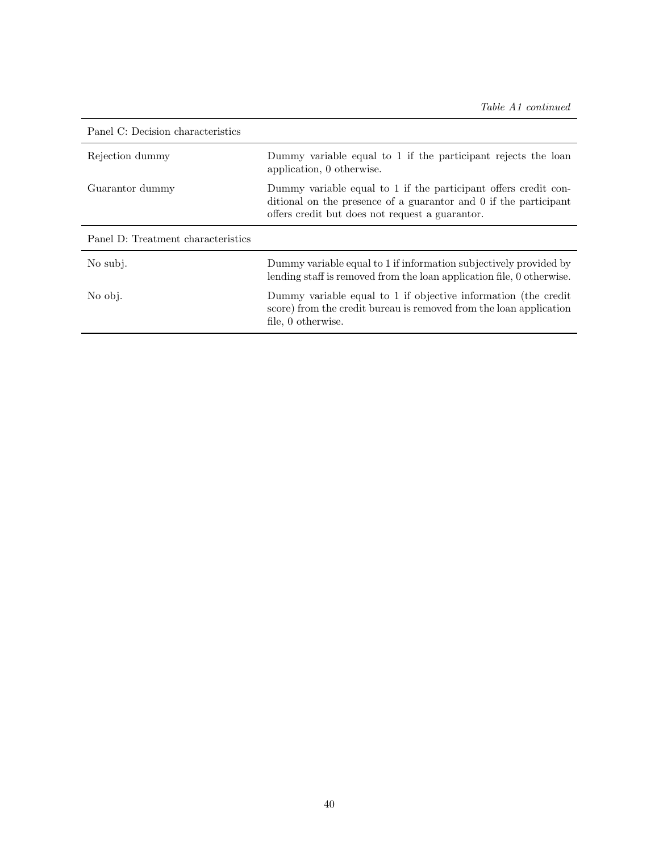| Panel C: Decision characteristics  |                                                                                                                                                                                        |
|------------------------------------|----------------------------------------------------------------------------------------------------------------------------------------------------------------------------------------|
| Rejection dummy                    | Dummy variable equal to 1 if the participant rejects the loan<br>application, 0 otherwise.                                                                                             |
| Guarantor dummy                    | Dummy variable equal to 1 if the participant offers credit con-<br>ditional on the presence of a guaranter and 0 if the participant<br>offers credit but does not request a guarantor. |
| Panel D: Treatment characteristics |                                                                                                                                                                                        |
|                                    |                                                                                                                                                                                        |
| No subj.                           | Dummy variable equal to 1 if information subjectively provided by<br>lending staff is removed from the loan application file, 0 otherwise.                                             |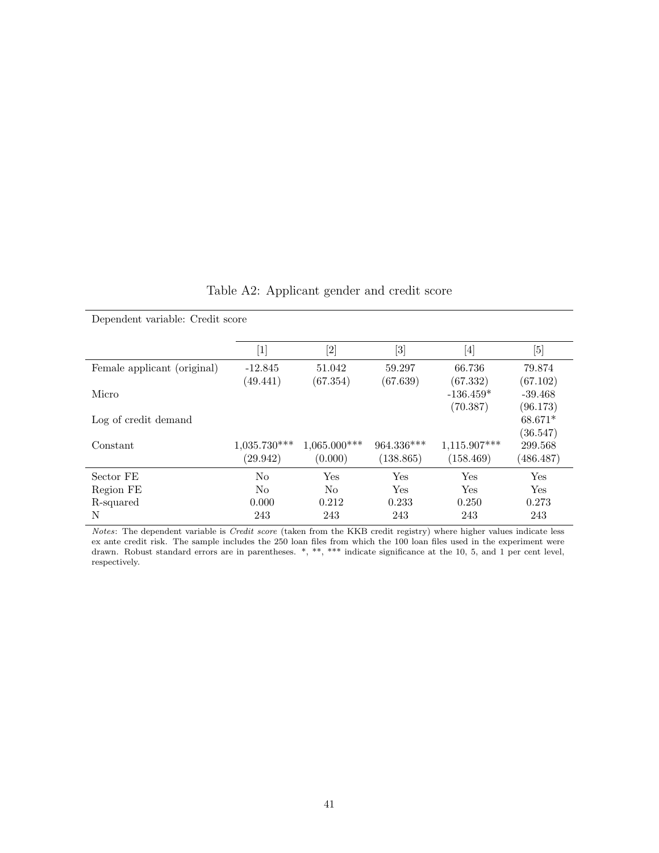| Dependent variable: Credit score |                |                |                                                                                                                                                            |                                                                                                                                                                      |           |  |  |  |
|----------------------------------|----------------|----------------|------------------------------------------------------------------------------------------------------------------------------------------------------------|----------------------------------------------------------------------------------------------------------------------------------------------------------------------|-----------|--|--|--|
|                                  | [1]            | $[2]$          | $[3] % \includegraphics[width=0.9\columnwidth]{figures/fig_1a} \caption{Schematic diagram of the top of the top of the top of the right.} \label{fig:1} %$ | $[4] % \includegraphics[width=0.9\columnwidth]{images/TrDiM1.png} \caption{The figure shows the results of the estimators in the left hand side.} \label{TrDiS5_11}$ | [5]       |  |  |  |
| Female applicant (original)      | $-12.845$      | 51.042         | 59.297                                                                                                                                                     | 66.736                                                                                                                                                               | 79.874    |  |  |  |
|                                  | (49.441)       | (67.354)       | (67.639)                                                                                                                                                   | (67.332)                                                                                                                                                             | (67.102)  |  |  |  |
| Micro                            |                |                |                                                                                                                                                            | $-136.459*$                                                                                                                                                          | $-39.468$ |  |  |  |
|                                  |                |                |                                                                                                                                                            | (70.387)                                                                                                                                                             | (96.173)  |  |  |  |
| Log of credit demand             |                |                |                                                                                                                                                            |                                                                                                                                                                      | $68.671*$ |  |  |  |
|                                  |                |                |                                                                                                                                                            |                                                                                                                                                                      | (36.547)  |  |  |  |
| Constant                         | $1,035.730***$ | $1,065.000***$ | 964.336***                                                                                                                                                 | 1,115.907***                                                                                                                                                         | 299.568   |  |  |  |
|                                  | (29.942)       | (0.000)        | (138.865)                                                                                                                                                  | (158.469)                                                                                                                                                            | (486.487) |  |  |  |
| Sector FE                        | N <sub>0</sub> | Yes            | Yes                                                                                                                                                        | <b>Yes</b>                                                                                                                                                           | Yes       |  |  |  |
| Region FE                        | N <sub>o</sub> | N <sub>o</sub> | Yes                                                                                                                                                        | Yes                                                                                                                                                                  | Yes       |  |  |  |
| R-squared                        | 0.000          | 0.212          | 0.233                                                                                                                                                      | 0.250                                                                                                                                                                | 0.273     |  |  |  |
| N                                | 243            | 243            | 243                                                                                                                                                        | 243                                                                                                                                                                  | 243       |  |  |  |

Notes: The dependent variable is Credit score (taken from the KKB credit registry) where higher values indicate less ex ante credit risk. The sample includes the 250 loan files from which the 100 loan files used in the experiment were drawn. Robust standard errors are in parentheses. \*, \*\*, \*\*\* indicate significance at the 10, 5, and 1 per cent level, respectively.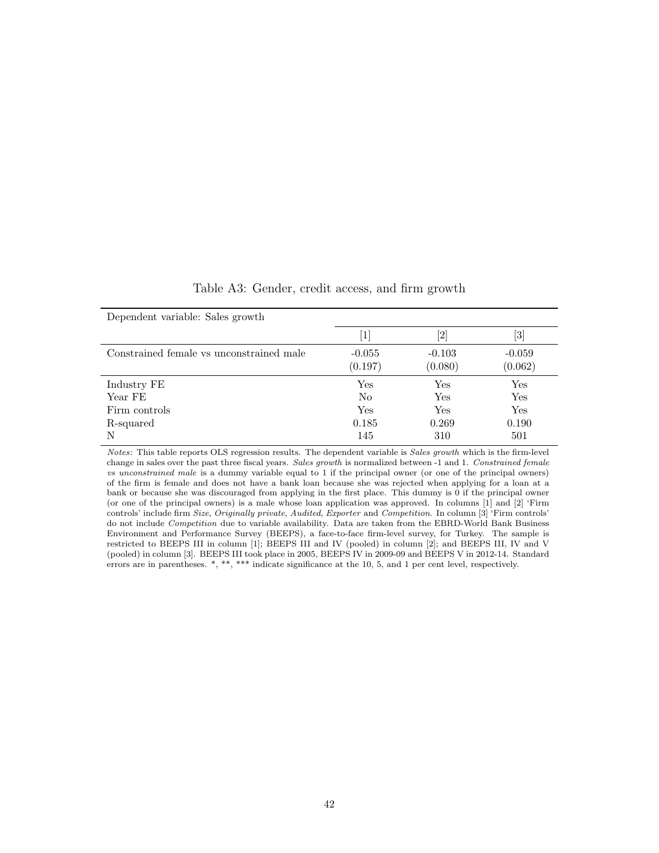| Dependent variable: Sales growth         |                     |                     |                     |
|------------------------------------------|---------------------|---------------------|---------------------|
|                                          | $\left[ 1\right]$   | [2]                 | [3]                 |
| Constrained female vs unconstrained male | $-0.055$<br>(0.197) | $-0.103$<br>(0.080) | $-0.059$<br>(0.062) |
| Industry FE                              | Yes                 | Yes                 | Yes                 |
| Year FE                                  | N <sub>o</sub>      | <b>Yes</b>          | Yes                 |
| Firm controls                            | Yes                 | Yes                 | Yes                 |
| R-squared                                | 0.185               | 0.269               | 0.190               |
| N                                        | 145                 | 310                 | 501                 |

Table A3: Gender, credit access, and firm growth

Notes: This table reports OLS regression results. The dependent variable is Sales growth which is the firm-level change in sales over the past three fiscal years. Sales growth is normalized between -1 and 1. Constrained female vs unconstrained male is a dummy variable equal to 1 if the principal owner (or one of the principal owners) of the firm is female and does not have a bank loan because she was rejected when applying for a loan at a bank or because she was discouraged from applying in the first place. This dummy is 0 if the principal owner (or one of the principal owners) is a male whose loan application was approved. In columns [1] and [2] 'Firm controls' include firm Size, Originally private, Audited, Exporter and Competition. In column [3] 'Firm controls' do not include Competition due to variable availability. Data are taken from the EBRD-World Bank Business Environment and Performance Survey (BEEPS), a face-to-face firm-level survey, for Turkey. The sample is restricted to BEEPS III in column [1]; BEEPS III and IV (pooled) in column [2]; and BEEPS III, IV and V (pooled) in column [3]. BEEPS III took place in 2005, BEEPS IV in 2009-09 and BEEPS V in 2012-14. Standard errors are in parentheses. \*, \*\*, \*\*\* indicate significance at the 10, 5, and 1 per cent level, respectively.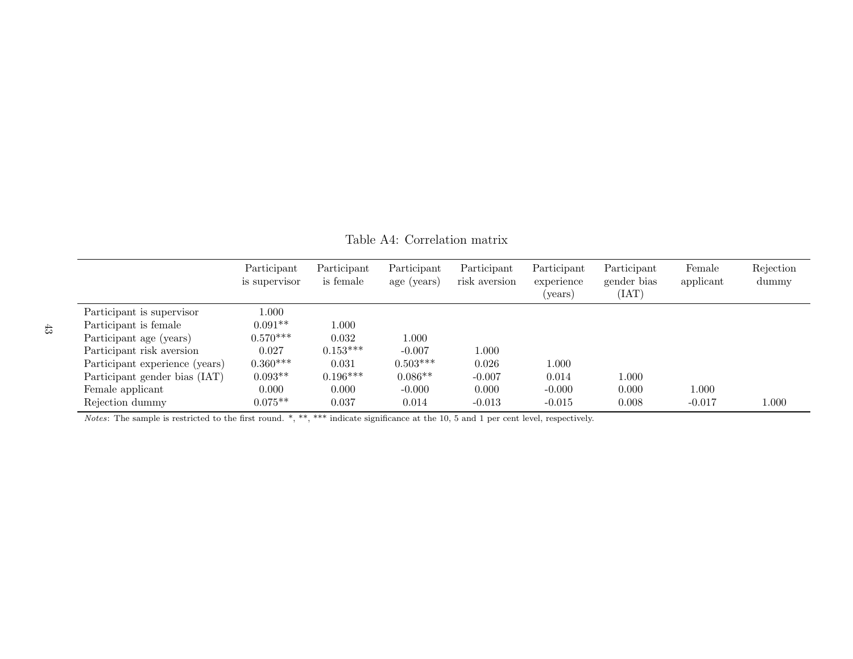|                                | Participant<br>is supervisor | Participant<br>is female | Participant<br>age (years) | Participant<br>risk aversion | Participant<br>experience<br>(years) | Participant<br>gender bias<br>(IAT) | Female<br>applicant | Rejection<br>dummy |
|--------------------------------|------------------------------|--------------------------|----------------------------|------------------------------|--------------------------------------|-------------------------------------|---------------------|--------------------|
| Participant is supervisor      | $1.000\,$                    |                          |                            |                              |                                      |                                     |                     |                    |
| Participant is female          | $0.091**$                    | .000.                    |                            |                              |                                      |                                     |                     |                    |
| Participant age (years)        | $0.570***$                   | 0.032                    | 1.000                      |                              |                                      |                                     |                     |                    |
| Participant risk aversion      | 0.027                        | $0.153***$               | $-0.007$                   | 1.000                        |                                      |                                     |                     |                    |
| Participant experience (years) | $0.360***$                   | 0.031                    | $0.503***$                 | 0.026                        | 1.000                                |                                     |                     |                    |
| Participant gender bias (IAT)  | $0.093**$                    | $0.196***$               | $0.086**$                  | $-0.007$                     | 0.014                                | 1.000                               |                     |                    |
| Female applicant               | 0.000                        | 0.000                    | $-0.000$                   | 0.000                        | $-0.000$                             | 0.000                               | 1.000               |                    |
| Rejection dummy                | $0.075**$                    | 0.037                    | 0.014                      | $-0.013$                     | $-0.015$                             | 0.008                               | $-0.017$            | 1.000              |

Table A4: Correlation matrix

Notes: The sample is restricted to the first round. \*, \*\*, \*\*\* indicate significance at the 10, 5 and 1 per cent level, respectively.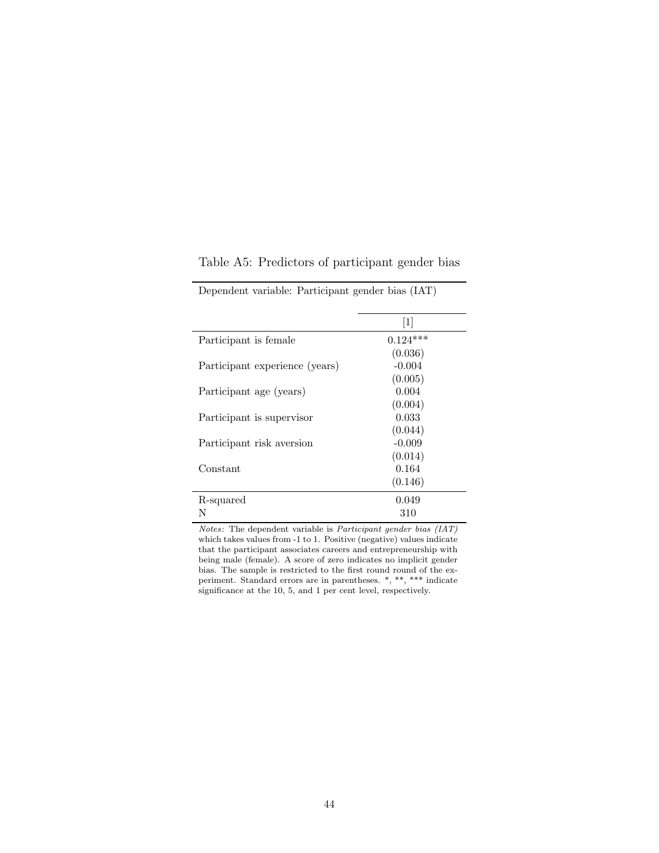|                                | $[1]$      |
|--------------------------------|------------|
| Participant is female          | $0.124***$ |
|                                | (0.036)    |
| Participant experience (years) | $-0.004$   |
|                                | (0.005)    |
| Participant age (years)        | 0.004      |
|                                | (0.004)    |
| Participant is supervisor      | 0.033      |
|                                | (0.044)    |
| Participant risk aversion      | $-0.009$   |
|                                | (0.014)    |
| Constant                       | 0.164      |
|                                | (0.146)    |
| R-squared                      | 0.049      |
| N                              | 310        |

Table A5: Predictors of participant gender bias

Dependent variable: Participant gender bias (IAT)

Notes: The dependent variable is Participant gender bias (IAT) which takes values from -1 to 1. Positive (negative) values indicate that the participant associates careers and entrepreneurship with being male (female). A score of zero indicates no implicit gender bias. The sample is restricted to the first round round of the experiment. Standard errors are in parentheses. \*, \*\*, \*\*\* indicate significance at the 10, 5, and 1 per cent level, respectively.